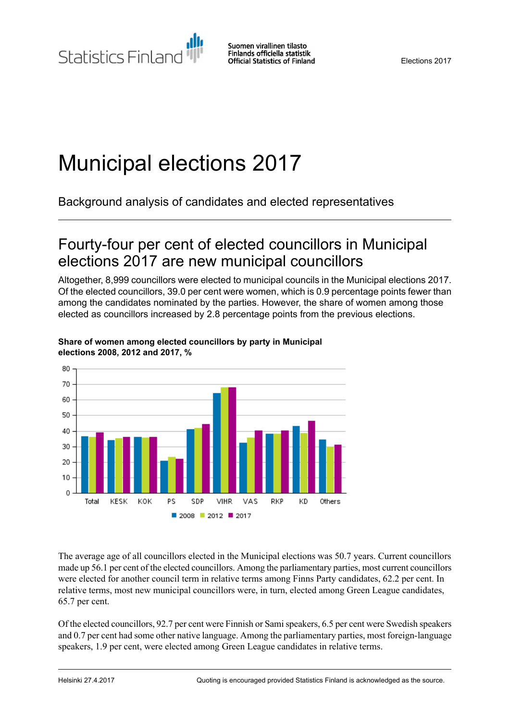# Municipal elections 2017

Background analysis of candidates and elected representatives

## Fourty-four per cent of elected councillors in Municipal elections 2017 are new municipal councillors

Altogether, 8,999 councillors were elected to municipal councils in the Municipal elections 2017. Of the elected councillors, 39.0 per cent were women, which is 0.9 percentage points fewer than among the candidates nominated by the parties. However, the share of women among those elected as councillors increased by 2.8 percentage points from the previous elections.



#### **Share of women among elected councillors by party in Municipal elections 2008, 2012 and 2017, %**

The average age of all councillors elected in the Municipal elections was 50.7 years. Current councillors made up 56.1 per cent of the elected councillors. Among the parliamentary parties, most current councillors were elected for another council term in relative terms among Finns Party candidates, 62.2 per cent. In relative terms, most new municipal councillors were, in turn, elected among Green League candidates, 65.7 per cent.

Of the elected councillors, 92.7 per cent were Finnish or Samispeakers, 6.5 per cent were Swedish speakers and 0.7 per cent had some other native language. Among the parliamentary parties, most foreign-language speakers, 1.9 per cent, were elected among Green League candidates in relative terms.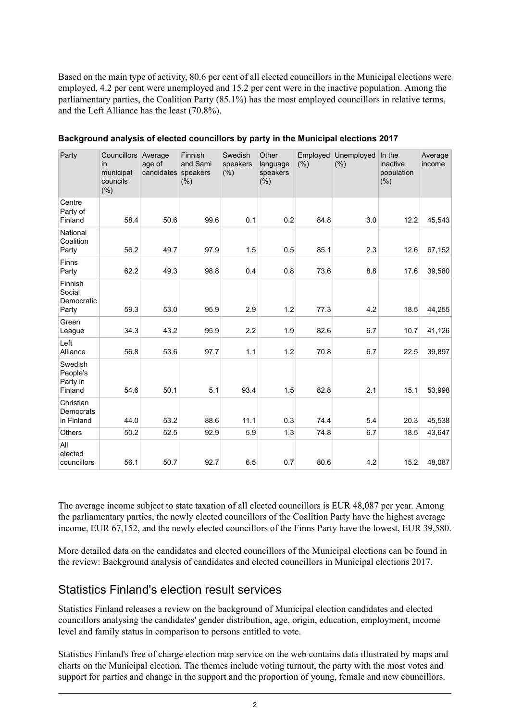Based on the main type of activity, 80.6 per cent of all elected councillors in the Municipal elections were employed, 4.2 per cent were unemployed and 15.2 per cent were in the inactive population. Among the parliamentary parties, the Coalition Party (85.1%) has the most employed councillors in relative terms, and the Left Alliance has the least (70.8%).

| Party                                      | Councillors Average<br>in<br>municipal<br>councils<br>(% ) | age of<br>candidates speakers | Finnish<br>and Sami<br>(% ) | Swedish<br>speakers<br>(%) | Other<br>language<br>speakers<br>$(\% )$ | Employed<br>(% ) | Unemployed<br>(% ) | In the<br>inactive<br>population<br>(% ) | Average<br>income |
|--------------------------------------------|------------------------------------------------------------|-------------------------------|-----------------------------|----------------------------|------------------------------------------|------------------|--------------------|------------------------------------------|-------------------|
| Centre<br>Party of<br>Finland              | 58.4                                                       | 50.6                          | 99.6                        | 0.1                        | 0.2                                      | 84.8             | 3.0                | 12.2                                     | 45,543            |
| National<br>Coalition<br>Party             | 56.2                                                       | 49.7                          | 97.9                        | 1.5                        | 0.5                                      | 85.1             | 2.3                | 12.6                                     | 67,152            |
| Finns<br>Party                             | 62.2                                                       | 49.3                          | 98.8                        | 0.4                        | 0.8                                      | 73.6             | 8.8                | 17.6                                     | 39,580            |
| Finnish<br>Social<br>Democratic<br>Party   | 59.3                                                       | 53.0                          | 95.9                        | 2.9                        | 1.2                                      | 77.3             | 4.2                | 18.5                                     | 44,255            |
| Green<br>League                            | 34.3                                                       | 43.2                          | 95.9                        | 2.2                        | 1.9                                      | 82.6             | 6.7                | 10.7                                     | 41,126            |
| Left<br>Alliance                           | 56.8                                                       | 53.6                          | 97.7                        | 1.1                        | 1.2                                      | 70.8             | 6.7                | 22.5                                     | 39,897            |
| Swedish<br>People's<br>Party in<br>Finland | 54.6                                                       | 50.1                          | 5.1                         | 93.4                       | 1.5                                      | 82.8             | 2.1                | 15.1                                     | 53,998            |
| Christian<br>Democrats<br>in Finland       | 44.0                                                       | 53.2                          | 88.6                        | 11.1                       | 0.3                                      | 74.4             | 5.4                | 20.3                                     | 45,538            |
| Others                                     | 50.2                                                       | 52.5                          | 92.9                        | 5.9                        | 1.3                                      | 74.8             | 6.7                | 18.5                                     | 43,647            |
| All<br>elected<br>councillors              | 56.1                                                       | 50.7                          | 92.7                        | 6.5                        | 0.7                                      | 80.6             | 4.2                | 15.2                                     | 48,087            |

#### **Background analysis of elected councillors by party in the Municipal elections 2017**

The average income subject to state taxation of all elected councillors is EUR 48,087 per year. Among the parliamentary parties, the newly elected councillors of the Coalition Party have the highest average income, EUR 67,152, and the newly elected councillors of the Finns Party have the lowest, EUR 39,580.

More detailed data on the candidates and elected councillors of the Municipal elections can be found in the review: Background analysis of candidates and elected councillors in Municipal elections 2017.

### Statistics Finland's election result services

Statistics Finland releases a review on the background of Municipal election candidates and elected councillors analysing the candidates' gender distribution, age, origin, education, employment, income level and family status in comparison to persons entitled to vote.

Statistics Finland's free of charge election map service on the web contains data illustrated by maps and charts on the Municipal election. The themes include voting turnout, the party with the most votes and support for parties and change in the support and the proportion of young, female and new councillors.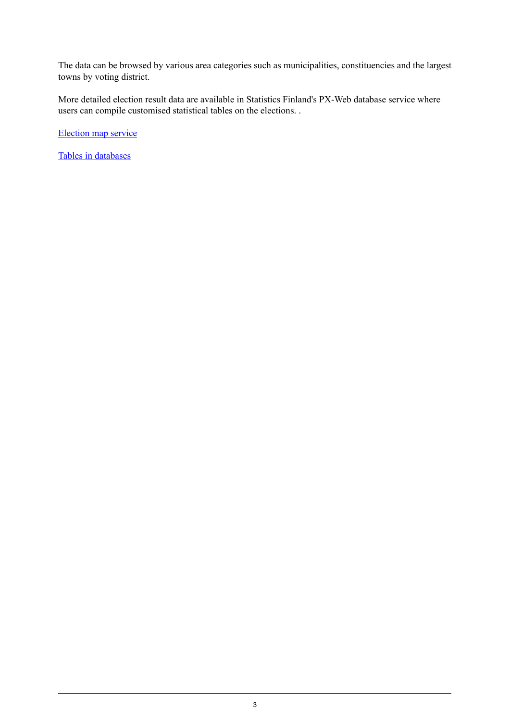The data can be browsed by various area categories such as municipalities, constituencies and the largest towns by voting district.

More detailed election result data are available in Statistics Finland's PX-Web database service where users can compile customised statistical tables on the elections. .

[Election](http://pxnet2.stat.fi/explorer/kunnallisvaalit_2017/index_en.shtml) map service

Tables in [databases](http://tilastokeskus.fi/til/kvaa/tau_en.html)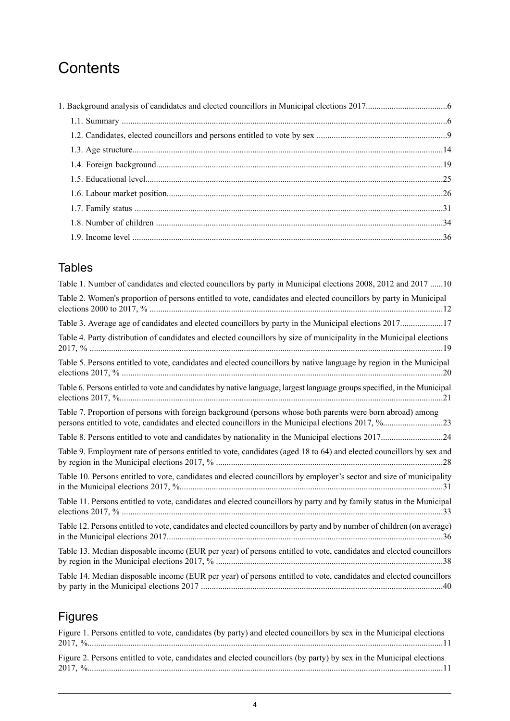# **Contents**

### **Tables**

| Table 1. Number of candidates and elected councillors by party in Municipal elections 2008, 2012 and 2017 10                                                                                                    |
|-----------------------------------------------------------------------------------------------------------------------------------------------------------------------------------------------------------------|
| Table 2. Women's proportion of persons entitled to vote, candidates and elected councillors by party in Municipal                                                                                               |
| Table 3. Average age of candidates and elected councillors by party in the Municipal elections 201717                                                                                                           |
| Table 4. Party distribution of candidates and elected councillors by size of municipality in the Municipal elections                                                                                            |
| Table 5. Persons entitled to vote, candidates and elected councillors by native language by region in the Municipal                                                                                             |
| Table 6. Persons entitled to vote and candidates by native language, largest language groups specified, in the Municipal                                                                                        |
| Table 7. Proportion of persons with foreign background (persons whose both parents were born abroad) among<br>persons entitled to vote, candidates and elected councillors in the Municipal elections 2017, %23 |
| Table 8. Persons entitled to vote and candidates by nationality in the Municipal elections 201724                                                                                                               |
| Table 9. Employment rate of persons entitled to vote, candidates (aged 18 to 64) and elected councillors by sex and                                                                                             |
| Table 10. Persons entitled to vote, candidates and elected councillors by employer's sector and size of municipality                                                                                            |
| Table 11. Persons entitled to vote, candidates and elected councillors by party and by family status in the Municipal                                                                                           |
| Table 12. Persons entitled to vote, candidates and elected councillors by party and by number of children (on average)                                                                                          |
| Table 13. Median disposable income (EUR per year) of persons entitled to vote, candidates and elected councillors                                                                                               |
| Table 14. Median disposable income (EUR per year) of persons entitled to vote, candidates and elected councillors                                                                                               |

# Figures

| Figure 1. Persons entitled to vote, candidates (by party) and elected councillors by sex in the Municipal elections |  |
|---------------------------------------------------------------------------------------------------------------------|--|
|                                                                                                                     |  |
| Figure 2. Persons entitled to vote, candidates and elected councillors (by party) by sex in the Municipal elections |  |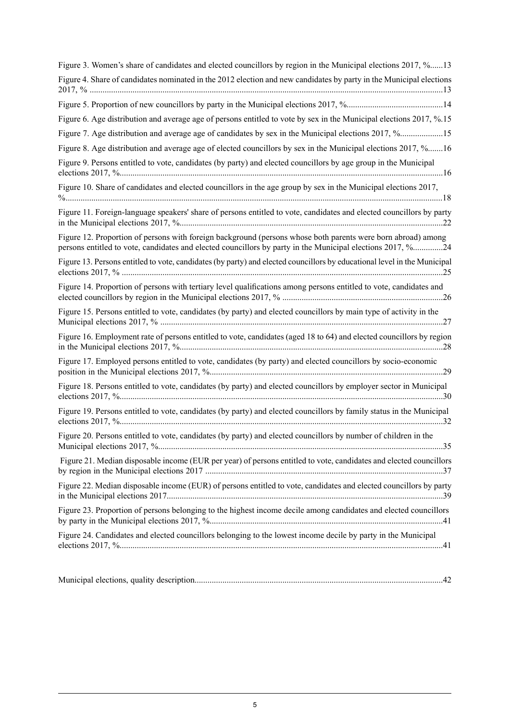| Figure 3. Women's share of candidates and elected councillors by region in the Municipal elections 2017, %13                                                                                                               |
|----------------------------------------------------------------------------------------------------------------------------------------------------------------------------------------------------------------------------|
| Figure 4. Share of candidates nominated in the 2012 election and new candidates by party in the Municipal elections                                                                                                        |
|                                                                                                                                                                                                                            |
| Figure 6. Age distribution and average age of persons entitled to vote by sex in the Municipal elections 2017, %.15                                                                                                        |
| Figure 7. Age distribution and average age of candidates by sex in the Municipal elections 2017, %15                                                                                                                       |
| Figure 8. Age distribution and average age of elected councillors by sex in the Municipal elections 2017, %16                                                                                                              |
| Figure 9. Persons entitled to vote, candidates (by party) and elected councillors by age group in the Municipal                                                                                                            |
| Figure 10. Share of candidates and elected councillors in the age group by sex in the Municipal elections 2017,                                                                                                            |
| Figure 11. Foreign-language speakers' share of persons entitled to vote, candidates and elected councillors by party                                                                                                       |
| Figure 12. Proportion of persons with foreign background (persons whose both parents were born abroad) among<br>persons entitled to vote, candidates and elected councillors by party in the Municipal elections 2017, %24 |
| Figure 13. Persons entitled to vote, candidates (by party) and elected councillors by educational level in the Municipal                                                                                                   |
| Figure 14. Proportion of persons with tertiary level qualifications among persons entitled to vote, candidates and                                                                                                         |
| Figure 15. Persons entitled to vote, candidates (by party) and elected councillors by main type of activity in the                                                                                                         |
| Figure 16. Employment rate of persons entitled to vote, candidates (aged 18 to 64) and elected councillors by region                                                                                                       |
| Figure 17. Employed persons entitled to vote, candidates (by party) and elected councillors by socio-economic                                                                                                              |
| Figure 18. Persons entitled to vote, candidates (by party) and elected councillors by employer sector in Municipal                                                                                                         |
| Figure 19. Persons entitled to vote, candidates (by party) and elected councillors by family status in the Municipal                                                                                                       |
| Figure 20. Persons entitled to vote, candidates (by party) and elected councillors by number of children in the                                                                                                            |
| Figure 21. Median disposable income (EUR per year) of persons entitled to vote, candidates and elected councillors                                                                                                         |
| Figure 22. Median disposable income (EUR) of persons entitled to vote, candidates and elected councillors by party                                                                                                         |
| Figure 23. Proportion of persons belonging to the highest income decile among candidates and elected councillors                                                                                                           |
| Figure 24. Candidates and elected councillors belonging to the lowest income decile by party in the Municipal                                                                                                              |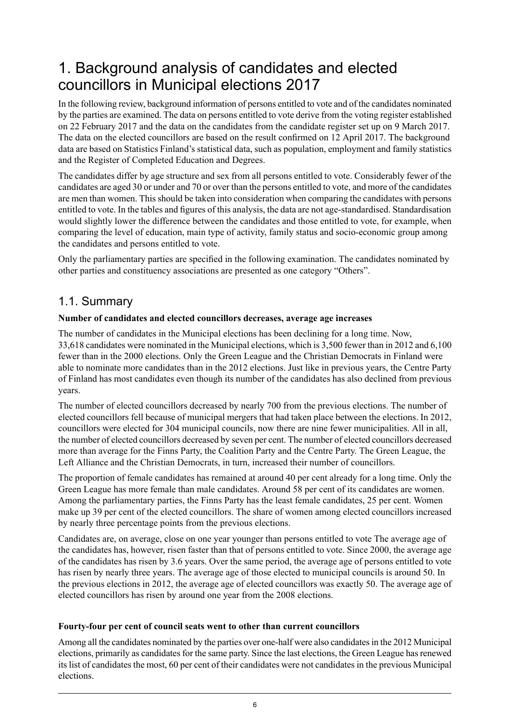# <span id="page-5-0"></span>1. Background analysis of candidates and elected councillors in Municipal elections 2017

In the following review, background information of persons entitled to vote and of the candidates nominated by the parties are examined. The data on persons entitled to vote derive from the voting register established on 22 February 2017 and the data on the candidates from the candidate register set up on 9 March 2017. The data on the elected councillors are based on the result confirmed on 12 April 2017. The background data are based on Statistics Finland's statistical data, such as population, employment and family statistics and the Register of Completed Education and Degrees.

The candidates differ by age structure and sex from all persons entitled to vote. Considerably fewer of the candidates are aged 30 or under and 70 or over than the persons entitled to vote, and more of the candidates are men than women. This should be taken into consideration when comparing the candidates with persons entitled to vote. In the tables and figures of this analysis, the data are not age-standardised. Standardisation would slightly lower the difference between the candidates and those entitled to vote, for example, when comparing the level of education, main type of activity, family status and socio-economic group among the candidates and persons entitled to vote.

<span id="page-5-1"></span>Only the parliamentary parties are specified in the following examination. The candidates nominated by other parties and constituency associations are presented as one category "Others".

### 1.1. Summary

#### **Number of candidates and elected councillors decreases, average age increases**

The number of candidates in the Municipal elections has been declining for a long time. Now, 33,618 candidates were nominated in the Municipal elections, which is 3,500 fewer than in 2012 and 6,100 fewer than in the 2000 elections. Only the Green League and the Christian Democrats in Finland were able to nominate more candidates than in the 2012 elections. Just like in previous years, the Centre Party of Finland has most candidates even though its number of the candidates has also declined from previous years.

The number of elected councillors decreased by nearly 700 from the previous elections. The number of elected councillors fell because of municipal mergers that had taken place between the elections. In 2012, councillors were elected for 304 municipal councils, now there are nine fewer municipalities. All in all, the number of elected councillors decreased by seven per cent. The number of elected councillors decreased more than average for the Finns Party, the Coalition Party and the Centre Party. The Green League, the Left Alliance and the Christian Democrats, in turn, increased their number of councillors.

The proportion of female candidates has remained at around 40 per cent already for a long time. Only the Green League has more female than male candidates. Around 58 per cent of its candidates are women. Among the parliamentary parties, the Finns Party has the least female candidates, 25 per cent. Women make up 39 per cent of the elected councillors. The share of women among elected councillors increased by nearly three percentage points from the previous elections.

Candidates are, on average, close on one year younger than persons entitled to vote The average age of the candidates has, however, risen faster than that of persons entitled to vote. Since 2000, the average age of the candidates has risen by 3.6 years. Over the same period, the average age of persons entitled to vote has risen by nearly three years. The average age of those elected to municipal councils is around 50. In the previous elections in 2012, the average age of elected councillors was exactly 50. The average age of elected councillors has risen by around one year from the 2008 elections.

#### **Fourty-four per cent of council seats went to other than current councillors**

Among all the candidates nominated by the parties over one-half were also candidatesin the 2012 Municipal elections, primarily as candidates for the same party. Since the last elections, the Green League has renewed its list of candidates the most, 60 per cent of their candidates were not candidates in the previous Municipal elections.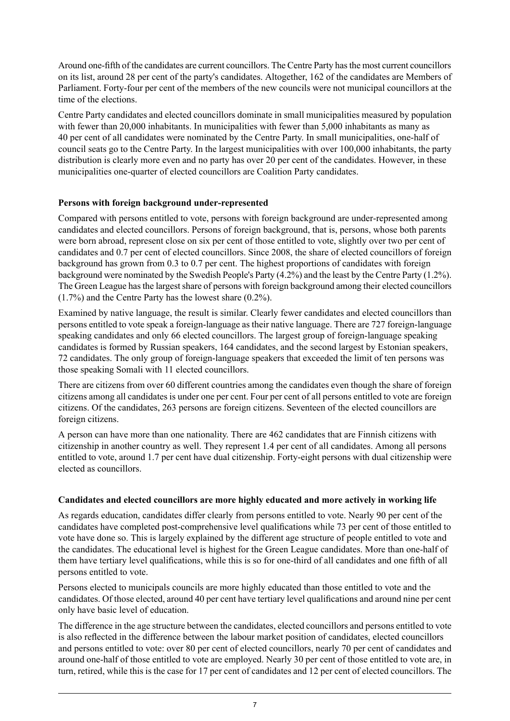Around one-fifth of the candidates are current councillors. The Centre Party hasthe most current councillors on its list, around 28 per cent of the party's candidates. Altogether, 162 of the candidates are Members of Parliament. Forty-four per cent of the members of the new councils were not municipal councillors at the time of the elections.

Centre Party candidates and elected councillors dominate in small municipalities measured by population with fewer than 20,000 inhabitants. In municipalities with fewer than 5,000 inhabitants as many as 40 per cent of all candidates were nominated by the Centre Party. In small municipalities, one-half of council seats go to the Centre Party. In the largest municipalities with over 100,000 inhabitants, the party distribution is clearly more even and no party has over 20 per cent of the candidates. However, in these municipalities one-quarter of elected councillors are Coalition Party candidates.

#### **Persons with foreign background under-represented**

Compared with persons entitled to vote, persons with foreign background are under-represented among candidates and elected councillors. Persons of foreign background, that is, persons, whose both parents were born abroad, represent close on six per cent of those entitled to vote, slightly over two per cent of candidates and 0.7 per cent of elected councillors. Since 2008, the share of elected councillors of foreign background has grown from 0.3 to 0.7 per cent. The highest proportions of candidates with foreign background were nominated by the Swedish People's Party (4.2%) and the least by the Centre Party (1.2%). The Green League has the largest share of persons with foreign background among their elected councillors (1.7%) and the Centre Party has the lowest share (0.2%).

Examined by native language, the result is similar. Clearly fewer candidates and elected councillors than persons entitled to vote speak a foreign-language as their native language. There are 727 foreign-language speaking candidates and only 66 elected councillors. The largest group of foreign-language speaking candidates is formed by Russian speakers, 164 candidates, and the second largest by Estonian speakers, 72 candidates. The only group of foreign-language speakers that exceeded the limit of ten persons was those speaking Somali with 11 elected councillors.

There are citizens from over 60 different countries among the candidates even though the share of foreign citizens among all candidates is under one per cent. Four per cent of all persons entitled to vote are foreign citizens. Of the candidates, 263 persons are foreign citizens. Seventeen of the elected councillors are foreign citizens.

A person can have more than one nationality. There are 462 candidates that are Finnish citizens with citizenship in another country as well. They represent 1.4 per cent of all candidates. Among all persons entitled to vote, around 1.7 per cent have dual citizenship. Forty-eight persons with dual citizenship were elected as councillors.

#### **Candidates and elected councillors are more highly educated and more actively in working life**

As regards education, candidates differ clearly from persons entitled to vote. Nearly 90 per cent of the candidates have completed post-comprehensive level qualifications while 73 per cent of those entitled to vote have done so. This is largely explained by the different age structure of people entitled to vote and the candidates. The educational level is highest for the Green League candidates. More than one-half of them have tertiary level qualifications, while this is so for one-third of all candidates and one fifth of all persons entitled to vote.

Persons elected to municipals councils are more highly educated than those entitled to vote and the candidates. Of those elected, around 40 per cent have tertiary level qualifications and around nine per cent only have basic level of education.

The difference in the age structure between the candidates, elected councillors and persons entitled to vote is also reflected in the difference between the labour market position of candidates, elected councillors and persons entitled to vote: over 80 per cent of elected councillors, nearly 70 per cent of candidates and around one-half of those entitled to vote are employed. Nearly 30 per cent of those entitled to vote are, in turn, retired, while this is the case for 17 per cent of candidates and 12 per cent of elected councillors. The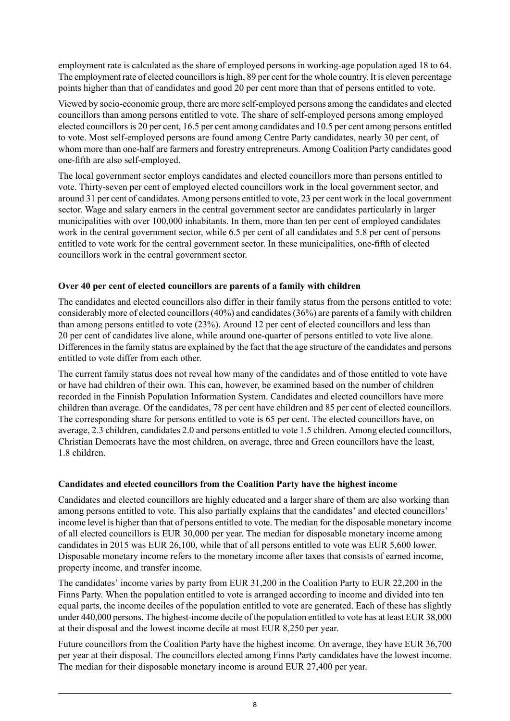employment rate is calculated as the share of employed persons in working-age population aged 18 to 64. The employment rate of elected councillors is high, 89 per cent for the whole country. It is eleven percentage points higher than that of candidates and good 20 per cent more than that of persons entitled to vote.

Viewed by socio-economic group, there are more self-employed persons among the candidates and elected councillors than among persons entitled to vote. The share of self-employed persons among employed elected councillors is 20 per cent, 16.5 per cent among candidates and 10.5 per cent among persons entitled to vote. Most self-employed persons are found among Centre Party candidates, nearly 30 per cent, of whom more than one-half are farmers and forestry entrepreneurs. Among Coalition Party candidates good one-fifth are also self-employed.

The local government sector employs candidates and elected councillors more than persons entitled to vote. Thirty-seven per cent of employed elected councillors work in the local government sector, and around 31 per cent of candidates. Among persons entitled to vote, 23 per cent work in the local government sector. Wage and salary earners in the central government sector are candidates particularly in larger municipalities with over 100,000 inhabitants. In them, more than ten per cent of employed candidates work in the central government sector, while 6.5 per cent of all candidates and 5.8 per cent of persons entitled to vote work for the central government sector. In these municipalities, one-fifth of elected councillors work in the central government sector.

#### **Over 40 per cent of elected councillors are parents of a family with children**

The candidates and elected councillors also differ in their family status from the persons entitled to vote: considerably more of elected councillors(40%) and candidates(36%) are parents of a family with children than among persons entitled to vote (23%). Around 12 per cent of elected councillors and less than 20 per cent of candidates live alone, while around one-quarter of persons entitled to vote live alone. Differences in the family status are explained by the fact that the age structure of the candidates and persons entitled to vote differ from each other.

The current family status does not reveal how many of the candidates and of those entitled to vote have or have had children of their own. This can, however, be examined based on the number of children recorded in the Finnish Population Information System. Candidates and elected councillors have more children than average. Of the candidates, 78 per cent have children and 85 per cent of elected councillors. The corresponding share for persons entitled to vote is 65 per cent. The elected councillors have, on average, 2.3 children, candidates 2.0 and persons entitled to vote 1.5 children. Among elected councillors, Christian Democrats have the most children, on average, three and Green councillors have the least, 1.8 children.

#### **Candidates and elected councillors from the Coalition Party have the highest income**

Candidates and elected councillors are highly educated and a larger share of them are also working than among persons entitled to vote. This also partially explains that the candidates' and elected councillors' income level is higher than that of persons entitled to vote. The median for the disposable monetary income of all elected councillors is EUR 30,000 per year. The median for disposable monetary income among candidates in 2015 was EUR 26,100, while that of all persons entitled to vote was EUR 5,600 lower. Disposable monetary income refers to the monetary income after taxes that consists of earned income, property income, and transfer income.

The candidates' income varies by party from EUR 31,200 in the Coalition Party to EUR 22,200 in the Finns Party. When the population entitled to vote is arranged according to income and divided into ten equal parts, the income deciles of the population entitled to vote are generated. Each of these has slightly under 440,000 persons. The highest-income decile of the population entitled to vote has at least EUR 38,000 at their disposal and the lowest income decile at most EUR 8,250 per year.

Future councillors from the Coalition Party have the highest income. On average, they have EUR 36,700 per year at their disposal. The councillors elected among Finns Party candidates have the lowest income. The median for their disposable monetary income is around EUR 27,400 per year.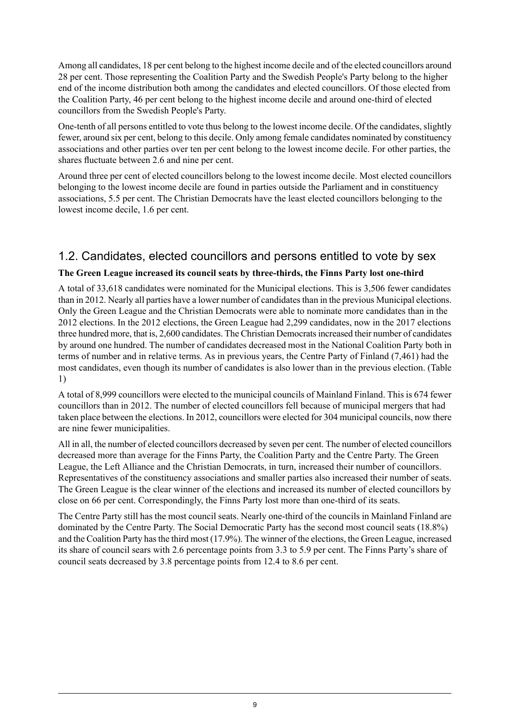Among all candidates, 18 per cent belong to the highest income decile and of the elected councillors around 28 per cent. Those representing the Coalition Party and the Swedish People's Party belong to the higher end of the income distribution both among the candidates and elected councillors. Of those elected from the Coalition Party, 46 per cent belong to the highest income decile and around one-third of elected councillors from the Swedish People's Party.

One-tenth of all persons entitled to vote thus belong to the lowest income decile. Of the candidates, slightly fewer, around six per cent, belong to this decile. Only among female candidates nominated by constituency associations and other parties over ten per cent belong to the lowest income decile. For other parties, the shares fluctuate between 2.6 and nine per cent.

Around three per cent of elected councillors belong to the lowest income decile. Most elected councillors belonging to the lowest income decile are found in parties outside the Parliament and in constituency associations, 5.5 per cent. The Christian Democrats have the least elected councillors belonging to the lowest income decile, 1.6 per cent.

### <span id="page-8-0"></span>1.2. Candidates, elected councillors and persons entitled to vote by sex

#### **The Green League increased its council seats by three-thirds, the Finns Party lost one-third**

A total of 33,618 candidates were nominated for the Municipal elections. This is 3,506 fewer candidates than in 2012. Nearly all parties have a lower number of candidates than in the previous Municipal elections. Only the Green League and the Christian Democrats were able to nominate more candidates than in the 2012 elections. In the 2012 elections, the Green League had 2,299 candidates, now in the 2017 elections three hundred more, that is, 2,600 candidates. The Christian Democratsincreased their number of candidates by around one hundred. The number of candidates decreased most in the National Coalition Party both in terms of number and in relative terms. As in previous years, the Centre Party of Finland (7,461) had the most candidates, even though its number of candidates is also lower than in the previous election. (Table 1)

A total of 8,999 councillors were elected to the municipal councils of Mainland Finland. This is 674 fewer councillors than in 2012. The number of elected councillors fell because of municipal mergers that had taken place between the elections. In 2012, councillors were elected for 304 municipal councils, now there are nine fewer municipalities.

All in all, the number of elected councillors decreased by seven per cent. The number of elected councillors decreased more than average for the Finns Party, the Coalition Party and the Centre Party. The Green League, the Left Alliance and the Christian Democrats, in turn, increased their number of councillors. Representatives of the constituency associations and smaller parties also increased their number of seats. The Green League is the clear winner of the elections and increased its number of elected councillors by close on 66 per cent. Correspondingly, the Finns Party lost more than one-third of its seats.

The Centre Party still has the most council seats. Nearly one-third of the councils in Mainland Finland are dominated by the Centre Party. The Social Democratic Party has the second most council seats (18.8%) and the Coalition Party has the third most (17.9%). The winner of the elections, the Green League, increased its share of council sears with 2.6 percentage points from 3.3 to 5.9 per cent. The Finns Party's share of council seats decreased by 3.8 percentage points from 12.4 to 8.6 per cent.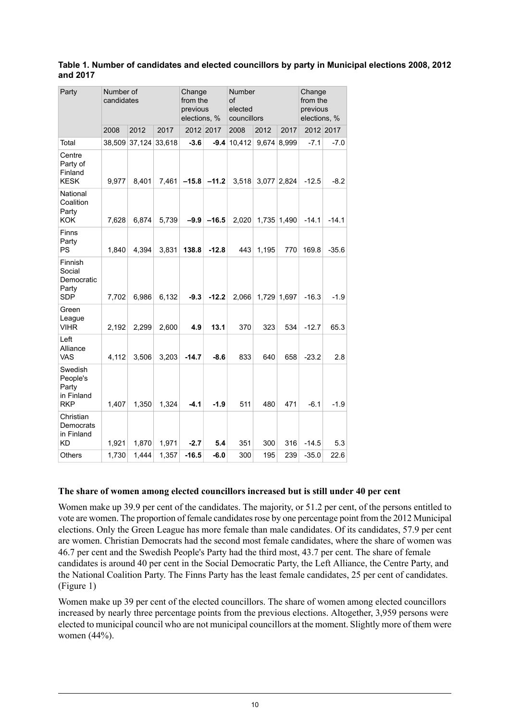| Party                                                    | Number of<br>candidates |        |        | Change<br>from the<br>previous<br>elections, % |           | Number<br>οf<br>elected<br>councillors |       | Change<br>from the<br>previous<br>elections, % |         |           |  |  |
|----------------------------------------------------------|-------------------------|--------|--------|------------------------------------------------|-----------|----------------------------------------|-------|------------------------------------------------|---------|-----------|--|--|
|                                                          | 2008                    | 2012   | 2017   |                                                | 2012 2017 | 2008                                   | 2012  | 2017                                           |         | 2012 2017 |  |  |
| Total                                                    | 38.509                  | 37,124 | 33,618 | $-3.6$                                         | $-9.4$    | 10.412                                 | 9.674 | 8.999                                          | $-7.1$  | $-7.0$    |  |  |
| Centre<br>Party of<br>Finland<br><b>KESK</b>             | 9,977                   | 8,401  | 7,461  | $-15.8$                                        | $-11.2$   | 3,518                                  | 3,077 | 2,824                                          | $-12.5$ | $-8.2$    |  |  |
| National<br>Coalition<br>Party<br><b>KOK</b>             | 7,628                   | 6.874  | 5.739  | $-9.9$                                         | $-16.5$   | 2,020                                  |       | 1,735 1,490                                    | $-14.1$ | $-14.1$   |  |  |
| Finns<br>Party<br>PS                                     | 1.840                   | 4.394  | 3,831  | 138.8                                          | $-12.8$   | 443                                    | 1,195 | 770                                            | 169.8   | $-35.6$   |  |  |
| Finnish<br>Social<br>Democratic<br>Party<br><b>SDP</b>   | 7.702                   | 6,986  | 6,132  | $-9.3$                                         | $-12.2$   | 2,066                                  |       | 1,729 1,697                                    | $-16.3$ | $-1.9$    |  |  |
| Green<br>League<br><b>VIHR</b>                           | 2,192                   | 2,299  | 2,600  | 4.9                                            | 13.1      | 370                                    | 323   | 534                                            | $-12.7$ | 65.3      |  |  |
| Left<br>Alliance<br><b>VAS</b>                           | 4.112                   | 3.506  | 3,203  | $-14.7$                                        | $-8.6$    | 833                                    | 640   | 658                                            | $-23.2$ | 2.8       |  |  |
| Swedish<br>People's<br>Party<br>in Finland<br><b>RKP</b> | 1.407                   | 1,350  | 1,324  | $-4.1$                                         | $-1.9$    | 511                                    | 480   | 471                                            | $-6.1$  | $-1.9$    |  |  |
| Christian<br>Democrats<br>in Finland<br>KD               | 1,921                   | 1,870  | 1,971  | $-2.7$                                         | 5.4       | 351                                    | 300   | 316                                            | $-14.5$ | 5.3       |  |  |
| <b>Others</b>                                            | 1,730                   | 1,444  | 1,357  | $-16.5$                                        | $-6.0$    | 300                                    | 195   | 239                                            | $-35.0$ | 22.6      |  |  |

#### <span id="page-9-0"></span>**Table 1. Number of candidates and elected councillors by party in Municipal elections 2008, 2012 and 2017**

#### **The share of women among elected councillors increased but is still under 40 per cent**

Women make up 39.9 per cent of the candidates. The majority, or 51.2 per cent, of the persons entitled to vote are women. The proportion of female candidates rose by one percentage point from the 2012 Municipal elections. Only the Green League has more female than male candidates. Of its candidates, 57.9 per cent are women. Christian Democrats had the second most female candidates, where the share of women was 46.7 per cent and the Swedish People's Party had the third most, 43.7 per cent. The share of female candidates is around 40 per cent in the Social Democratic Party, the Left Alliance, the Centre Party, and the National Coalition Party. The Finns Party has the least female candidates, 25 per cent of candidates. (Figure 1)

Women make up 39 per cent of the elected councillors. The share of women among elected councillors increased by nearly three percentage points from the previous elections. Altogether, 3,959 persons were elected to municipal council who are not municipal councillors at the moment. Slightly more of them were women (44%).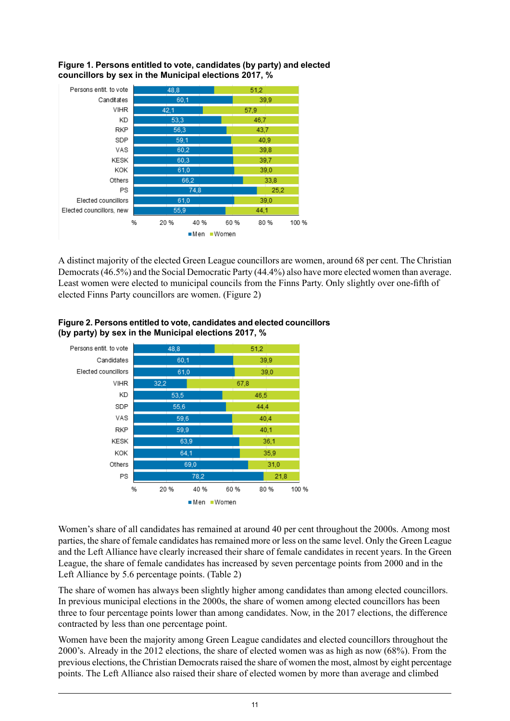

<span id="page-10-0"></span>**Figure 1. Persons entitled to vote, candidates (by party) and elected councillors by sex in the Municipal elections 2017, %**

<span id="page-10-1"></span>A distinct majority of the elected Green League councillors are women, around 68 per cent. The Christian Democrats(46.5%) and the Social Democratic Party (44.4%) also have more elected women than average. Least women were elected to municipal councils from the Finns Party. Only slightly over one-fifth of elected Finns Party councillors are women. (Figure 2)



#### **Figure2. Personsentitled to vote,candidatesand elected councillors (by party) by sex in the Municipal elections 2017, %**

Women's share of all candidates has remained at around 40 per cent throughout the 2000s. Among most parties, the share of female candidates hasremained more or less on the same level. Only the Green League and the Left Alliance have clearly increased their share of female candidates in recent years. In the Green League, the share of female candidates has increased by seven percentage points from 2000 and in the Left Alliance by 5.6 percentage points. (Table 2)

The share of women has always been slightly higher among candidates than among elected councillors. In previous municipal elections in the 2000s, the share of women among elected councillors has been three to four percentage points lower than among candidates. Now, in the 2017 elections, the difference contracted by less than one percentage point.

Women have been the majority among Green League candidates and elected councillors throughout the 2000's. Already in the 2012 elections, the share of elected women was as high as now (68%). From the previous elections, the Christian Democrats raised the share of women the most, almost by eight percentage points. The Left Alliance also raised their share of elected women by more than average and climbed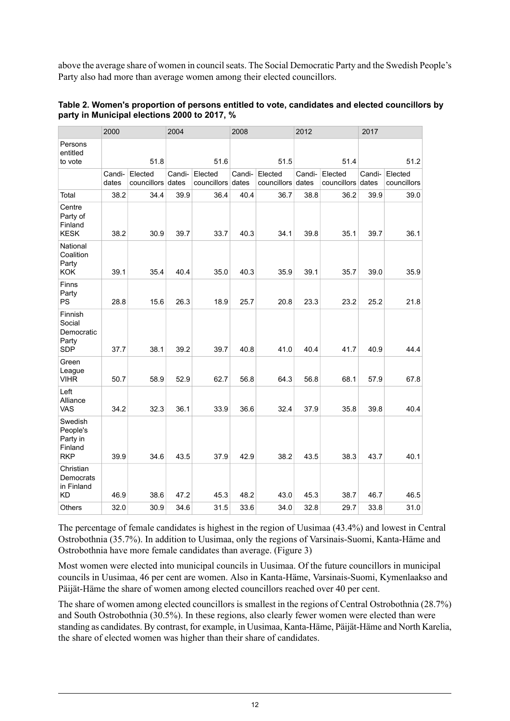above the average share of women in council seats. The Social Democratic Party and the Swedish People's Party also had more than average women among their elected councillors.

|                                                          | 2000            |                        | 2004            |                              | 2008   |                              | 2012   |                              | 2017   |                        |  |
|----------------------------------------------------------|-----------------|------------------------|-----------------|------------------------------|--------|------------------------------|--------|------------------------------|--------|------------------------|--|
| Persons<br>entitled<br>to vote                           | 51.8            |                        | 51.6            |                              |        | 51.5                         |        | 51.4                         | 51.2   |                        |  |
|                                                          | Candi-<br>dates | Elected<br>councillors | Candi-<br>dates | Elected<br>councillors dates | Candi- | Elected<br>councillors dates | Candi- | Elected<br>councillors dates | Candi- | Elected<br>councillors |  |
| Total                                                    | 38.2            | 34.4                   | 39.9            | 36.4                         | 40.4   | 36.7                         | 38.8   | 36.2                         | 39.9   | 39.0                   |  |
| Centre<br>Party of<br>Finland<br><b>KESK</b>             | 38.2            | 30.9                   | 39.7            | 33.7                         | 40.3   | 34.1                         | 39.8   | 35.1                         | 39.7   | 36.1                   |  |
| National<br>Coalition<br>Party<br><b>KOK</b>             | 39.1            | 35.4                   | 40.4            | 35.0                         | 40.3   | 35.9                         | 39.1   | 35.7                         | 39.0   | 35.9                   |  |
| Finns<br>Party<br>PS                                     | 28.8            | 15.6                   | 26.3            | 18.9                         | 25.7   | 20.8                         | 23.3   | 23.2                         | 25.2   | 21.8                   |  |
| Finnish<br>Social<br>Democratic<br>Party<br><b>SDP</b>   | 37.7            | 38.1                   | 39.2            | 39.7                         | 40.8   | 41.0                         | 40.4   | 41.7                         | 40.9   | 44.4                   |  |
| Green<br>League<br><b>VIHR</b>                           | 50.7            | 58.9                   | 52.9            | 62.7                         | 56.8   | 64.3                         | 56.8   | 68.1                         | 57.9   | 67.8                   |  |
| Left<br>Alliance<br><b>VAS</b>                           | 34.2            | 32.3                   | 36.1            | 33.9                         | 36.6   | 32.4                         | 37.9   | 35.8                         | 39.8   | 40.4                   |  |
| Swedish<br>People's<br>Party in<br>Finland<br><b>RKP</b> | 39.9            | 34.6                   | 43.5            | 37.9                         | 42.9   | 38.2                         | 43.5   | 38.3                         | 43.7   | 40.1                   |  |
| Christian<br>Democrats<br>in Finland<br><b>KD</b>        | 46.9            | 38.6                   | 47.2            | 45.3                         | 48.2   | 43.0                         | 45.3   | 38.7                         | 46.7   | 46.5                   |  |
| <b>Others</b>                                            | 32.0            | 30.9                   | 34.6            | 31.5                         | 33.6   | 34.0                         | 32.8   | 29.7                         | 33.8   | 31.0                   |  |

<span id="page-11-0"></span>

| Table 2. Women's proportion of persons entitled to vote, candidates and elected councillors by |
|------------------------------------------------------------------------------------------------|
| party in Municipal elections 2000 to 2017, %                                                   |

The percentage of female candidates is highest in the region of Uusimaa (43.4%) and lowest in Central Ostrobothnia (35.7%). In addition to Uusimaa, only the regions of Varsinais-Suomi, Kanta-Häme and Ostrobothnia have more female candidates than average. (Figure 3)

Most women were elected into municipal councils in Uusimaa. Of the future councillors in municipal councils in Uusimaa, 46 per cent are women. Also in Kanta-Häme, Varsinais-Suomi, Kymenlaakso and Päijät-Häme the share of women among elected councillors reached over 40 per cent.

The share of women among elected councillors is smallest in the regions of Central Ostrobothnia (28.7%) and South Ostrobothnia (30.5%). In these regions, also clearly fewer women were elected than were standing as candidates. By contrast, for example, in Uusimaa, Kanta-Häme, Päijät-Häme and North Karelia, the share of elected women was higher than their share of candidates.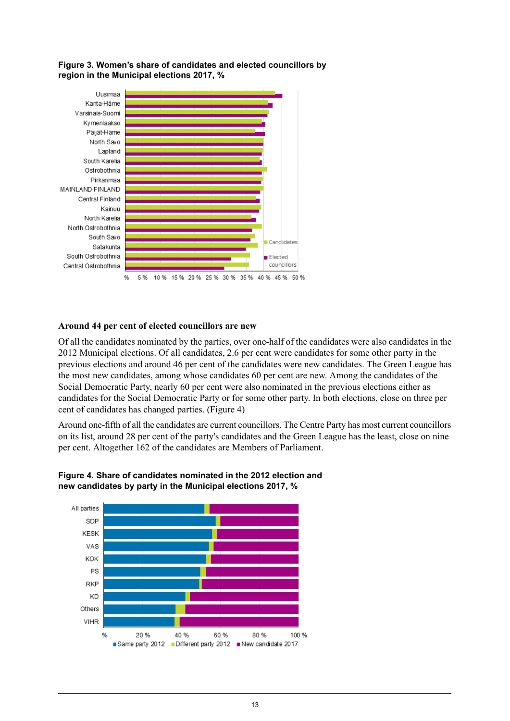#### <span id="page-12-0"></span>**Figure 3. Women's share of candidates and elected councillors by region in the Municipal elections 2017, %**



#### **Around 44 per cent of elected councillors are new**

Of all the candidates nominated by the parties, over one-half of the candidates were also candidates in the 2012 Municipal elections. Of all candidates, 2.6 per cent were candidates for some other party in the previous elections and around 46 per cent of the candidates were new candidates. The Green League has the most new candidates, among whose candidates 60 per cent are new. Among the candidates of the Social Democratic Party, nearly 60 per cent were also nominated in the previous elections either as candidates for the Social Democratic Party or for some other party. In both elections, close on three per cent of candidates has changed parties. (Figure 4)

<span id="page-12-1"></span>Around one-fifth of all the candidates are current councillors. The Centre Party has most current councillors on its list, around 28 per cent of the party's candidates and the Green League has the least, close on nine per cent. Altogether 162 of the candidates are Members of Parliament.



#### **Figure 4. Share of candidates nominated in the 2012 election and new candidates by party in the Municipal elections 2017, %**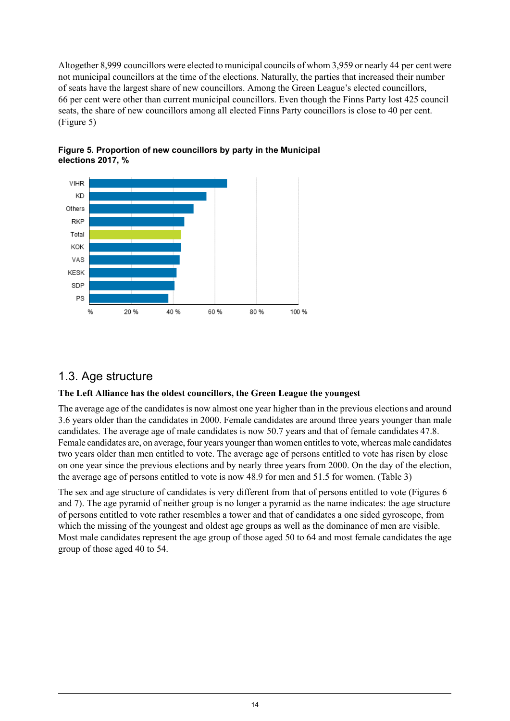Altogether 8,999 councillors were elected to municipal councils of whom 3,959 or nearly 44 per cent were not municipal councillors at the time of the elections. Naturally, the parties that increased their number of seats have the largest share of new councillors. Among the Green League's elected councillors, 66 per cent were other than current municipal councillors. Even though the Finns Party lost 425 council seats, the share of new councillors among all elected Finns Party councillors is close to 40 per cent. (Figure 5)



<span id="page-13-1"></span>

### <span id="page-13-0"></span>1.3. Age structure

#### **The Left Alliance has the oldest councillors, the Green League the youngest**

The average age of the candidates is now almost one year higher than in the previous elections and around 3.6 years older than the candidates in 2000. Female candidates are around three years younger than male candidates. The average age of male candidates is now 50.7 years and that of female candidates 47.8. Female candidates are, on average, four years younger than women entitles to vote, whereas male candidates two years older than men entitled to vote. The average age of persons entitled to vote has risen by close on one year since the previous elections and by nearly three years from 2000. On the day of the election, the average age of persons entitled to vote is now 48.9 for men and 51.5 for women. (Table 3)

The sex and age structure of candidates is very different from that of persons entitled to vote (Figures 6 and 7). The age pyramid of neither group is no longer a pyramid as the name indicates: the age structure of persons entitled to vote rather resembles a tower and that of candidates a one sided gyroscope, from which the missing of the youngest and oldest age groups as well as the dominance of men are visible. Most male candidates represent the age group of those aged 50 to 64 and most female candidates the age group of those aged 40 to 54.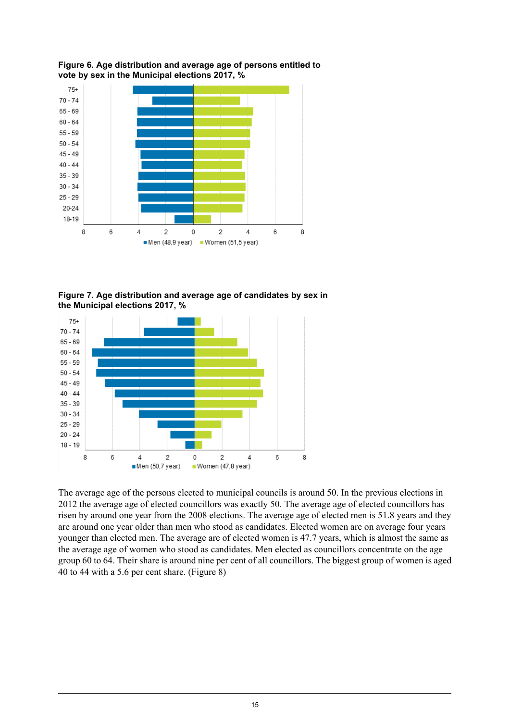

<span id="page-14-0"></span>**Figure 6. Age distribution and average age of persons entitled to vote by sex in the Municipal elections 2017, %**

<span id="page-14-1"></span>**Figure 7. Age distribution and average age of candidates by sex in the Municipal elections 2017, %**



The average age of the persons elected to municipal councils is around 50. In the previous elections in 2012 the average age of elected councillors was exactly 50. The average age of elected councillors has risen by around one year from the 2008 elections. The average age of elected men is 51.8 years and they are around one year older than men who stood as candidates. Elected women are on average four years younger than elected men. The average are of elected women is 47.7 years, which is almost the same as the average age of women who stood as candidates. Men elected as councillors concentrate on the age group 60 to 64. Their share is around nine per cent of all councillors. The biggest group of women is aged 40 to 44 with a 5.6 per cent share. (Figure 8)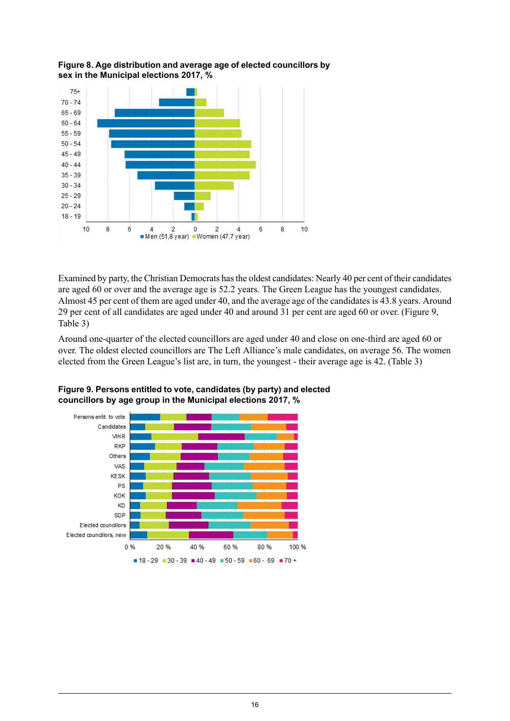<span id="page-15-0"></span>



Examined by party, the Christian Democrats hasthe oldest candidates: Nearly 40 per cent of their candidates are aged 60 or over and the average age is 52.2 years. The Green League has the youngest candidates. Almost 45 per cent of them are aged under 40, and the average age of the candidates is 43.8 years. Around 29 per cent of all candidates are aged under 40 and around 31 per cent are aged 60 or over. (Figure 9, Table 3)

<span id="page-15-1"></span>Around one-quarter of the elected councillors are aged under 40 and close on one-third are aged 60 or over. The oldest elected councillors are The Left Alliance's male candidates, on average 56. The women elected from the Green League's list are, in turn, the youngest - their average age is 42. (Table 3)



**Figure 9. Persons entitled to vote, candidates (by party) and elected councillors by age group in the Municipal elections 2017, %**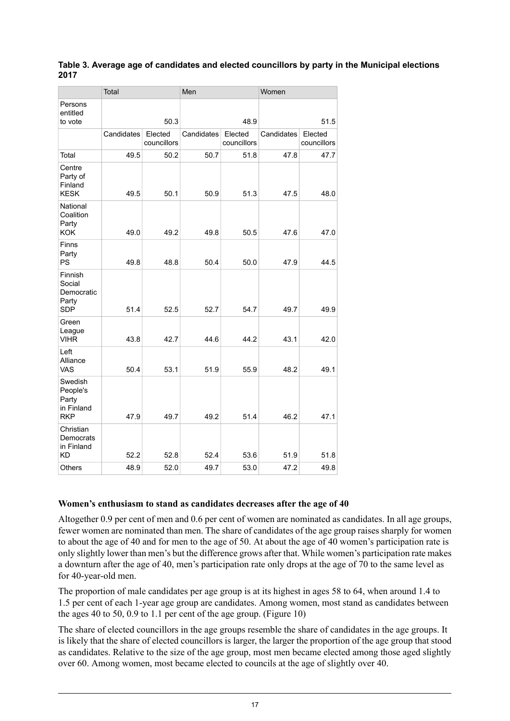#### <span id="page-16-0"></span>**Table 3. Average age of candidates and elected councillors by party in the Municipal elections 2017**

|                                                          | Total      |                        | Men        |                        | Women      |                        |  |  |
|----------------------------------------------------------|------------|------------------------|------------|------------------------|------------|------------------------|--|--|
| Persons<br>entitled<br>to vote                           |            | 50.3                   |            | 48.9                   | 51.5       |                        |  |  |
|                                                          | Candidates | Elected<br>councillors | Candidates | Elected<br>councillors | Candidates | Elected<br>councillors |  |  |
| Total                                                    | 49.5       | 50.2                   | 50.7       | 51.8                   | 47.8       | 47.7                   |  |  |
| Centre<br>Party of<br>Finland<br><b>KESK</b>             | 49.5       | 50.1                   | 50.9       | 51.3                   | 47.5       | 48.0                   |  |  |
| National<br>Coalition<br>Party<br><b>KOK</b>             | 49.0       | 49.2                   | 49.8       | 50.5                   | 47.6       | 47.0                   |  |  |
| Finns<br>Party<br>PS                                     | 49.8       | 48.8                   | 50.4       | 50.0                   | 47.9       | 44.5                   |  |  |
| Finnish<br>Social<br>Democratic<br>Party<br><b>SDP</b>   | 51.4       | 52.5                   | 52.7       | 54.7                   | 49.7       | 49.9                   |  |  |
| Green<br>League<br><b>VIHR</b>                           | 43.8       | 42.7                   | 44.6       | 44.2                   | 43.1       | 42.0                   |  |  |
| Left<br>Alliance<br>VAS                                  | 50.4       | 53.1                   | 51.9       | 55.9                   | 48.2       | 49.1                   |  |  |
| Swedish<br>People's<br>Party<br>in Finland<br><b>RKP</b> | 47.9       | 49.7                   | 49.2       | 51.4                   | 46.2       | 47.1                   |  |  |
| Christian<br>Democrats<br>in Finland<br>ΚD               | 52.2       | 52.8                   | 52.4       | 53.6                   | 51.9       | 51.8                   |  |  |
| <b>Others</b>                                            | 48.9       | 52.0                   | 49.7       | 53.0                   | 47.2       | 49.8                   |  |  |

#### **Women's enthusiasm to stand as candidates decreases after the age of 40**

Altogether 0.9 per cent of men and 0.6 per cent of women are nominated as candidates. In all age groups, fewer women are nominated than men. The share of candidates of the age group raises sharply for women to about the age of 40 and for men to the age of 50. At about the age of 40 women's participation rate is only slightly lower than men's but the difference grows after that. While women's participation rate makes a downturn after the age of 40, men's participation rate only drops at the age of 70 to the same level as for 40-year-old men.

The proportion of male candidates per age group is at its highest in ages 58 to 64, when around 1.4 to 1.5 per cent of each 1-year age group are candidates. Among women, most stand as candidates between the ages 40 to 50, 0.9 to 1.1 per cent of the age group. (Figure 10)

The share of elected councillors in the age groups resemble the share of candidates in the age groups. It is likely that the share of elected councillors is larger, the larger the proportion of the age group that stood as candidates. Relative to the size of the age group, most men became elected among those aged slightly over 60. Among women, most became elected to councils at the age of slightly over 40.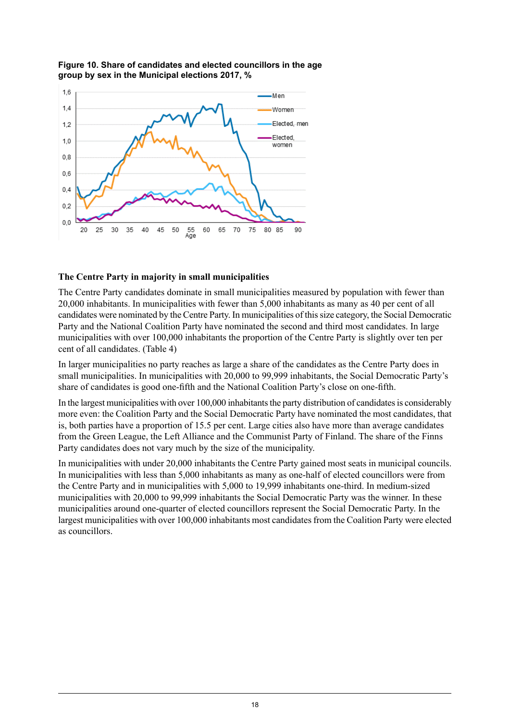

#### <span id="page-17-0"></span>**Figure 10. Share of candidates and elected councillors in the age group by sex in the Municipal elections 2017, %**

#### **The Centre Party in majority in small municipalities**

The Centre Party candidates dominate in small municipalities measured by population with fewer than 20,000 inhabitants. In municipalities with fewer than 5,000 inhabitants as many as 40 per cent of all candidates were nominated by the Centre Party. In municipalities of thissize category, the Social Democratic Party and the National Coalition Party have nominated the second and third most candidates. In large municipalities with over 100,000 inhabitants the proportion of the Centre Party is slightly over ten per cent of all candidates. (Table 4)

In larger municipalities no party reaches as large a share of the candidates as the Centre Party does in small municipalities. In municipalities with 20,000 to 99,999 inhabitants, the Social Democratic Party's share of candidates is good one-fifth and the National Coalition Party's close on one-fifth.

In the largest municipalities with over 100,000 inhabitants the party distribution of candidates is considerably more even: the Coalition Party and the Social Democratic Party have nominated the most candidates, that is, both parties have a proportion of 15.5 per cent. Large cities also have more than average candidates from the Green League, the Left Alliance and the Communist Party of Finland. The share of the Finns Party candidates does not vary much by the size of the municipality.

In municipalities with under 20,000 inhabitants the Centre Party gained most seats in municipal councils. In municipalities with less than 5,000 inhabitants as many as one-half of elected councillors were from the Centre Party and in municipalities with 5,000 to 19,999 inhabitants one-third. In medium-sized municipalities with 20,000 to 99,999 inhabitants the Social Democratic Party was the winner. In these municipalities around one-quarter of elected councillors represent the Social Democratic Party. In the largest municipalities with over 100,000 inhabitants most candidates from the Coalition Party were elected as councillors.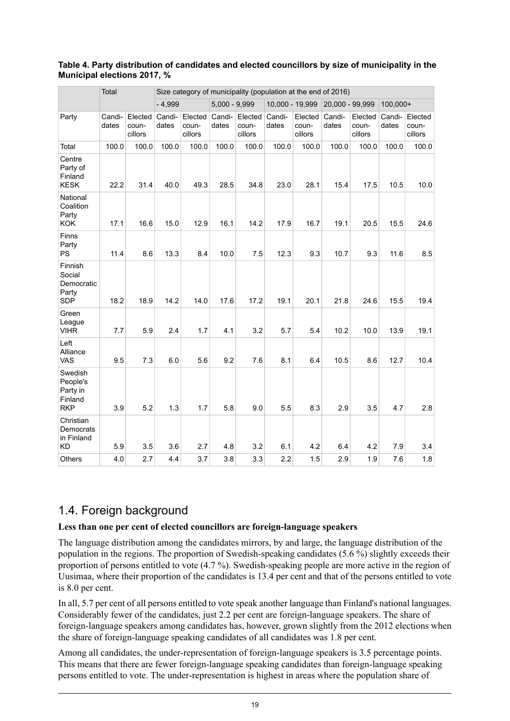#### <span id="page-18-1"></span>**Table 4. Party distribution of candidates and elected councillors by size of municipality in the Municipal elections 2017, %**

|                                                          | Total           |                             | Size category of municipality (population at the end of 2016) |                             |                 |                             |                 |                             |                 |                             |                 |                             |  |
|----------------------------------------------------------|-----------------|-----------------------------|---------------------------------------------------------------|-----------------------------|-----------------|-----------------------------|-----------------|-----------------------------|-----------------|-----------------------------|-----------------|-----------------------------|--|
|                                                          |                 |                             | $-4,999$                                                      |                             | $5,000 - 9,999$ |                             |                 | 10,000 - 19,999             |                 | 20,000 - 99,999             |                 | 100,000+                    |  |
| Party                                                    | Candi-<br>dates | Elected<br>coun-<br>cillors | Candi-<br>dates                                               | Elected<br>coun-<br>cillors | Candi-<br>dates | Elected<br>coun-<br>cillors | Candi-<br>dates | Elected<br>coun-<br>cillors | Candi-<br>dates | Elected<br>coun-<br>cillors | Candi-<br>dates | Elected<br>coun-<br>cillors |  |
| Total                                                    | 100.0           | 100.0                       | 100.0                                                         | 100.0                       | 100.0           | 100.0                       | 100.0           | 100.0                       | 100.0           | 100.0                       | 100.0           | 100.0                       |  |
| Centre<br>Party of<br>Finland<br><b>KESK</b>             | 22.2            | 31.4                        | 40.0                                                          | 49.3                        | 28.5            | 34.8                        | 23.0            | 28.1                        | 15.4            | 17.5                        | 10.5            | 10.0                        |  |
| National<br>Coalition<br>Party<br><b>KOK</b>             | 17.1            | 16.6                        | 15.0                                                          | 12.9                        | 16.1            | 14.2                        | 17.9            | 16.7                        | 19.1            | 20.5                        | 15.5            | 24.6                        |  |
| Finns<br>Party<br><b>PS</b>                              | 11.4            | 8.6                         | 13.3                                                          | 8.4                         | 10.0            | 7.5                         | 12.3            | 9.3                         | 10.7            | 9.3                         | 11.6            | 8.5                         |  |
| Finnish<br>Social<br>Democratic<br>Party<br><b>SDP</b>   | 18.2            | 18.9                        | 14.2                                                          | 14.0                        | 17.6            | 17.2                        | 19.1            | 20.1                        | 21.8            | 24.6                        | 15.5            | 19.4                        |  |
| Green<br>League<br><b>VIHR</b>                           | 7.7             | 5.9                         | 2.4                                                           | 1.7                         | 4.1             | 3.2                         | 5.7             | 5.4                         | 10.2            | 10.0                        | 13.9            | 19.1                        |  |
| Left<br>Alliance<br><b>VAS</b>                           | 9.5             | 7.3                         | 6.0                                                           | 5.6                         | 9.2             | 7.6                         | 8.1             | 6.4                         | 10.5            | 8.6                         | 12.7            | 10.4                        |  |
| Swedish<br>People's<br>Party in<br>Finland<br><b>RKP</b> | 3.9             | 5.2                         | 1.3                                                           | 1.7                         | 5.8             | 9.0                         | 5.5             | 8.3                         | 2.9             | 3.5                         | 4.7             | 2.8                         |  |
| Christian<br>Democrats<br>in Finland<br><b>KD</b>        | 5.9             | 3.5                         | 3.6                                                           | 2.7                         | 4.8             | 3.2                         | 6.1             | 4.2                         | 6.4             | 4.2                         | 7.9             | 3.4                         |  |
| Others                                                   | 4.0             | 2.7                         | 4.4                                                           | 3.7                         | 3.8             | 3.3                         | 2.2             | 1.5                         | 2.9             | 1.9                         | 7.6             | 1.8                         |  |

### <span id="page-18-0"></span>1.4. Foreign background

#### **Less than one per cent of elected councillors are foreign-language speakers**

The language distribution among the candidates mirrors, by and large, the language distribution of the population in the regions. The proportion of Swedish-speaking candidates (5.6 %) slightly exceeds their proportion of persons entitled to vote (4.7 %). Swedish-speaking people are more active in the region of Uusimaa, where their proportion of the candidates is 13.4 per cent and that of the persons entitled to vote is 8.0 per cent.

In all, 5.7 per cent of all persons entitled to vote speak another language than Finland's national languages. Considerably fewer of the candidates, just 2.2 per cent are foreign-language speakers. The share of foreign-language speakers among candidates has, however, grown slightly from the 2012 elections when the share of foreign-language speaking candidates of all candidates was 1.8 per cent.

Among all candidates, the under-representation of foreign-language speakers is 3.5 percentage points. This means that there are fewer foreign-language speaking candidates than foreign-language speaking persons entitled to vote. The under-representation is highest in areas where the population share of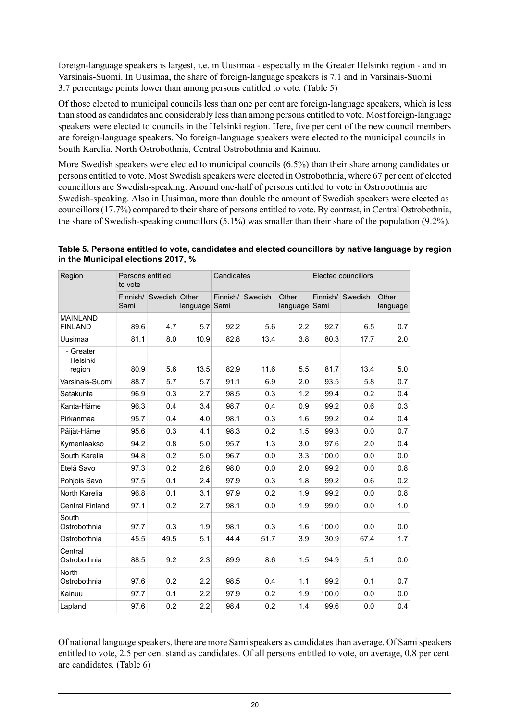foreign-language speakers is largest, i.e. in Uusimaa - especially in the Greater Helsinki region - and in Varsinais-Suomi. In Uusimaa, the share of foreign-language speakers is 7.1 and in Varsinais-Suomi 3.7 percentage points lower than among persons entitled to vote. (Table 5)

Of those elected to municipal councils less than one per cent are foreign-language speakers, which is less than stood as candidates and considerably lessthan among persons entitled to vote. Most foreign-language speakers were elected to councils in the Helsinki region. Here, five per cent of the new council members are foreign-language speakers. No foreign-language speakers were elected to the municipal councils in South Karelia, North Ostrobothnia, Central Ostrobothnia and Kainuu.

More Swedish speakers were elected to municipal councils (6.5%) than their share among candidates or persons entitled to vote. Most Swedish speakers were elected in Ostrobothnia, where 67 per cent of elected councillors are Swedish-speaking. Around one-half of persons entitled to vote in Ostrobothnia are Swedish-speaking. Also in Uusimaa, more than double the amount of Swedish speakers were elected as councillors (17.7%) compared to their share of persons entitled to vote. By contrast, in Central Ostrobothnia, the share of Swedish-speaking councillors (5.1%) was smaller than their share of the population (9.2%).

| Region                            | Persons entitled<br>to vote |         |                   | Candidates       |         |                   | <b>Elected councillors</b> |         |                   |  |
|-----------------------------------|-----------------------------|---------|-------------------|------------------|---------|-------------------|----------------------------|---------|-------------------|--|
|                                   | Finnish/<br>Sami            | Swedish | Other<br>language | Finnish/<br>Sami | Swedish | Other<br>language | Finnish/<br>Sami           | Swedish | Other<br>language |  |
| <b>MAINLAND</b><br><b>FINLAND</b> | 89.6                        | 4.7     | 5.7               | 92.2             | 5.6     | 2.2               | 92.7                       | 6.5     | 0.7               |  |
| Uusimaa                           | 81.1                        | 8.0     | 10.9              | 82.8             | 13.4    | 3.8               | 80.3                       | 17.7    | 2.0               |  |
| - Greater<br>Helsinki<br>region   | 80.9                        | 5.6     | 13.5              | 82.9             | 11.6    | 5.5               | 81.7                       | 13.4    | 5.0               |  |
| Varsinais-Suomi                   | 88.7                        | 5.7     | 5.7               | 91.1             | 6.9     | 2.0               | 93.5                       | 5.8     | 0.7               |  |
| Satakunta                         | 96.9                        | 0.3     | 2.7               | 98.5             | 0.3     | 1.2               | 99.4                       | 0.2     | 0.4               |  |
| Kanta-Häme                        | 96.3                        | 0.4     | 3.4               | 98.7             | 0.4     | 0.9               | 99.2                       | 0.6     | 0.3               |  |
| Pirkanmaa                         | 95.7                        | 0.4     | 4.0               | 98.1             | 0.3     | 1.6               | 99.2                       | 0.4     | 0.4               |  |
| Päijät-Häme                       | 95.6                        | 0.3     | 4.1               | 98.3             | 0.2     | 1.5               | 99.3                       | 0.0     | 0.7               |  |
| Kymenlaakso                       | 94.2                        | 0.8     | 5.0               | 95.7             | 1.3     | 3.0               | 97.6                       | 2.0     | 0.4               |  |
| South Karelia                     | 94.8                        | 0.2     | 5.0               | 96.7             | 0.0     | 3.3               | 100.0                      | 0.0     | 0.0               |  |
| Etelä Savo                        | 97.3                        | 0.2     | 2.6               | 98.0             | 0.0     | 2.0               | 99.2                       | 0.0     | 0.8               |  |
| Pohjois Savo                      | 97.5                        | 0.1     | 2.4               | 97.9             | 0.3     | 1.8               | 99.2                       | 0.6     | 0.2               |  |
| North Karelia                     | 96.8                        | 0.1     | 3.1               | 97.9             | 0.2     | 1.9               | 99.2                       | 0.0     | 0.8               |  |
| <b>Central Finland</b>            | 97.1                        | 0.2     | 2.7               | 98.1             | 0.0     | 1.9               | 99.0                       | 0.0     | 1.0               |  |
| South<br>Ostrobothnia             | 97.7                        | 0.3     | 1.9               | 98.1             | 0.3     | 1.6               | 100.0                      | 0.0     | 0.0               |  |
| Ostrobothnia                      | 45.5                        | 49.5    | 5.1               | 44.4             | 51.7    | 3.9               | 30.9                       | 67.4    | 1.7               |  |
| Central<br>Ostrobothnia           | 88.5                        | 9.2     | 2.3               | 89.9             | 8.6     | 1.5               | 94.9                       | 5.1     | 0.0               |  |
| North<br>Ostrobothnia             | 97.6                        | 0.2     | 2.2               | 98.5             | 0.4     | 1.1               | 99.2                       | 0.1     | 0.7               |  |
| Kainuu                            | 97.7                        | 0.1     | 2.2               | 979              | 0.2     | 1.9               | 100.0                      | 0.0     | 0.0               |  |
| Lapland                           | 97.6                        | 0.2     | 2.2               | 98.4             | 0.2     | 1.4               | 99.6                       | 0.0     | 0.4               |  |

<span id="page-19-0"></span>

| Table 5. Persons entitled to vote, candidates and elected councillors by native language by region |
|----------------------------------------------------------------------------------------------------|
| in the Municipal elections 2017, %                                                                 |

Of national language speakers, there are more Samispeakers as candidatesthan average. Of Samispeakers entitled to vote, 2.5 per cent stand as candidates. Of all persons entitled to vote, on average, 0.8 per cent are candidates. (Table 6)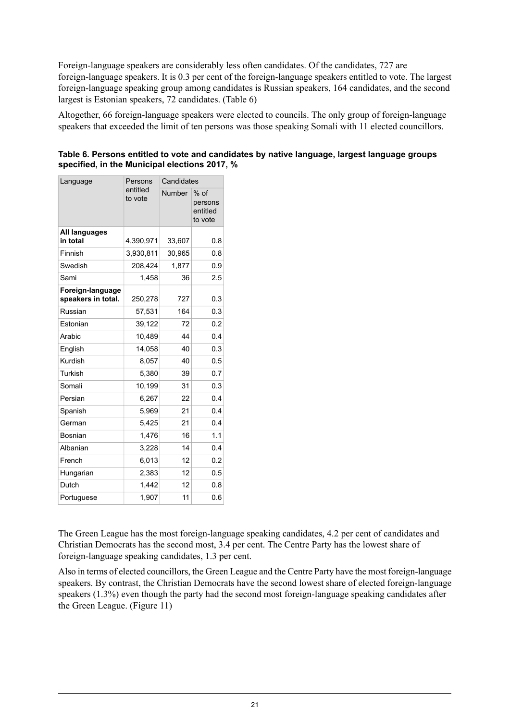Foreign-language speakers are considerably less often candidates. Of the candidates, 727 are foreign-language speakers. It is 0.3 per cent of the foreign-language speakers entitled to vote. The largest foreign-language speaking group among candidates is Russian speakers, 164 candidates, and the second largest is Estonian speakers, 72 candidates. (Table 6)

Altogether, 66 foreign-language speakers were elected to councils. The only group of foreign-language speakers that exceeded the limit of ten persons was those speaking Somali with 11 elected councillors.

<span id="page-20-0"></span>

|          |                      | specified, in the Municipal elections 2017, % | Table 6. Persons entitled to vote and candidates by native language, largest language groups |
|----------|----------------------|-----------------------------------------------|----------------------------------------------------------------------------------------------|
| Language | Persons<br>ا ntitlan | Candidates                                    |                                                                                              |

| Language                               | гегэлгэ             | Canuluales    |                                          |  |  |
|----------------------------------------|---------------------|---------------|------------------------------------------|--|--|
|                                        | entitled<br>to vote | <b>Number</b> | $%$ of<br>persons<br>entitled<br>to vote |  |  |
| All languages<br>in total              | 4,390,971           | 33,607        | 0.8                                      |  |  |
| Finnish                                | 3,930,811           | 30,965        | 0.8                                      |  |  |
| Swedish                                | 208,424             | 1,877         | 0.9                                      |  |  |
| Sami                                   | 1,458               | 36            | 2.5                                      |  |  |
| Foreign-language<br>speakers in total. | 250,278             | 727           | 0.3                                      |  |  |
| Russian                                | 57,531              | 164           | 0.3                                      |  |  |
| Estonian                               | 39,122              | 72            | 0.2                                      |  |  |
| Arabic                                 | 10,489              | 44            | 0.4                                      |  |  |
| English                                | 14,058              | 40            | 0.3                                      |  |  |
| Kurdish                                | 8,057               | 40            | 0.5                                      |  |  |
| <b>Turkish</b>                         | 5,380               | 39            | 0.7                                      |  |  |
| Somali                                 | 10,199              | 31            | 0.3                                      |  |  |
| Persian                                | 6,267               | 22            | 0.4                                      |  |  |
| Spanish                                | 5,969               | 21            | 0.4                                      |  |  |
| German                                 | 5,425               | 21            | 0.4                                      |  |  |
| Bosnian                                | 1,476               | 16            | 1.1                                      |  |  |
| Albanian                               | 3,228               | 14            | 0.4                                      |  |  |
| French                                 | 6,013               | 12            | 0.2                                      |  |  |
| Hungarian                              | 2,383               | 12            | 0.5                                      |  |  |
| Dutch                                  | 1,442               | 12            | 0.8                                      |  |  |
| Portuguese                             | 1,907               | 11            | 0.6                                      |  |  |

The Green League has the most foreign-language speaking candidates, 4.2 per cent of candidates and Christian Democrats has the second most, 3.4 per cent. The Centre Party has the lowest share of foreign-language speaking candidates, 1.3 per cent.

Also in terms of elected councillors, the Green League and the Centre Party have the most foreign-language speakers. By contrast, the Christian Democrats have the second lowest share of elected foreign-language speakers (1.3%) even though the party had the second most foreign-language speaking candidates after the Green League. (Figure 11)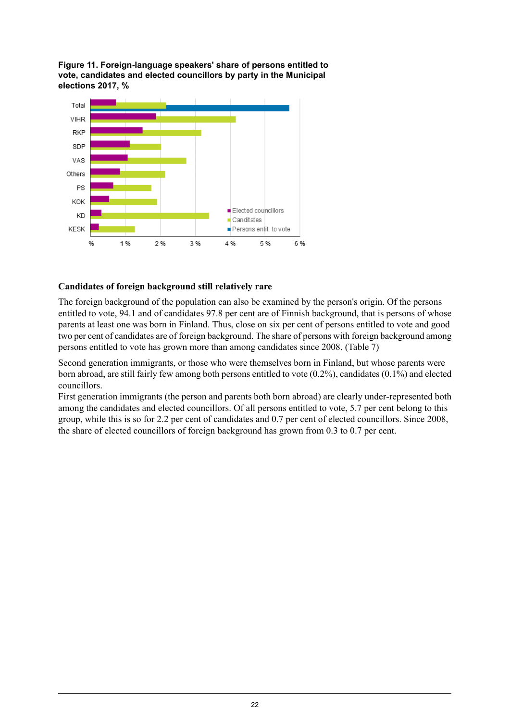<span id="page-21-0"></span>**Figure 11. Foreign-language speakers' share of persons entitled to vote, candidates and elected councillors by party in the Municipal elections 2017, %**



#### **Candidates of foreign background still relatively rare**

The foreign background of the population can also be examined by the person's origin. Of the persons entitled to vote, 94.1 and of candidates 97.8 per cent are of Finnish background, that is persons of whose parents at least one was born in Finland. Thus, close on six per cent of persons entitled to vote and good two per cent of candidates are of foreign background. The share of persons with foreign background among persons entitled to vote has grown more than among candidates since 2008. (Table 7)

Second generation immigrants, or those who were themselves born in Finland, but whose parents were born abroad, are still fairly few among both persons entitled to vote (0.2%), candidates (0.1%) and elected councillors.

First generation immigrants (the person and parents both born abroad) are clearly under-represented both among the candidates and elected councillors. Of all persons entitled to vote, 5.7 per cent belong to this group, while this is so for 2.2 per cent of candidates and 0.7 per cent of elected councillors. Since 2008, the share of elected councillors of foreign background has grown from 0.3 to 0.7 per cent.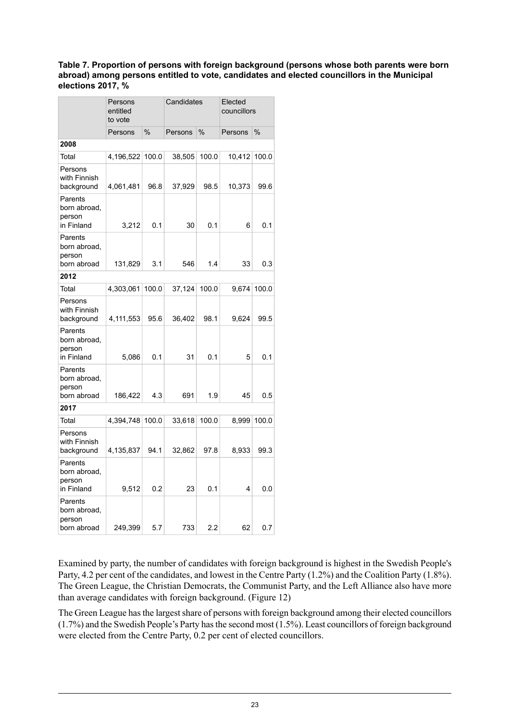#### <span id="page-22-0"></span>**Table 7. Proportion of persons with foreign background (persons whose both parents were born abroad) among persons entitled to vote, candidates and elected councillors in the Municipal elections 2017, %**

|                                                  | Persons<br>entitled<br>to vote |       | Candidates |       | Elected<br>councillors |       |  |
|--------------------------------------------------|--------------------------------|-------|------------|-------|------------------------|-------|--|
|                                                  | Persons                        | $\%$  | Persons    | %     | Persons                | $\%$  |  |
| 2008                                             |                                |       |            |       |                        |       |  |
| Total                                            | 4,196,522                      | 100.0 | 38,505     | 100.0 | 10,412                 | 100.0 |  |
| Persons<br>with Finnish<br>background            | 4,061,481                      | 96.8  | 37,929     | 98.5  | 10,373                 | 99.6  |  |
| Parents<br>born abroad,<br>person<br>in Finland  | 3,212                          | 0.1   | 30         | 0.1   | 6                      | 0.1   |  |
| Parents<br>born abroad,<br>person<br>born abroad | 131,829                        | 3.1   | 546        | 1.4   | 33                     | 0.3   |  |
| 2012                                             |                                |       |            |       |                        |       |  |
| Total                                            | 4,303,061                      | 100.0 | 37,124     | 100.0 | 9,674                  | 100.0 |  |
| Persons<br>with Finnish<br>background            | 4,111,553                      | 95.6  | 36,402     | 98.1  | 9,624                  | 99.5  |  |
| Parents<br>born abroad,<br>person<br>in Finland  | 5,086                          | 0.1   | 31         | 0.1   | 5                      | 0.1   |  |
| Parents<br>born abroad,<br>person<br>born abroad | 186,422                        | 4.3   | 691        | 1.9   | 45                     | 0.5   |  |
| 2017                                             |                                |       |            |       |                        |       |  |
| Total                                            | 4,394,748                      | 100.0 | 33,618     | 100.0 | 8,999                  | 100.0 |  |
| Persons<br>with Finnish<br>background            | 4,135,837                      | 94.1  | 32,862     | 97.8  | 8,933                  | 99.3  |  |
| Parents<br>born abroad,<br>person<br>in Finland  | 9,512                          | 0.2   | 23         | 0.1   | 4                      | 0.0   |  |
| Parents<br>born abroad,<br>person<br>born abroad | 249,399                        | 5.7   | 733        | 2.2   | 62                     | 0.7   |  |

Examined by party, the number of candidates with foreign background is highest in the Swedish People's Party, 4.2 per cent of the candidates, and lowest in the Centre Party (1.2%) and the Coalition Party (1.8%). The Green League, the Christian Democrats, the Communist Party, and the Left Alliance also have more than average candidates with foreign background. (Figure 12)

The Green League has the largest share of persons with foreign background among their elected councillors (1.7%) and the Swedish People's Party hasthe second most (1.5%). Least councillors of foreign background were elected from the Centre Party, 0.2 per cent of elected councillors.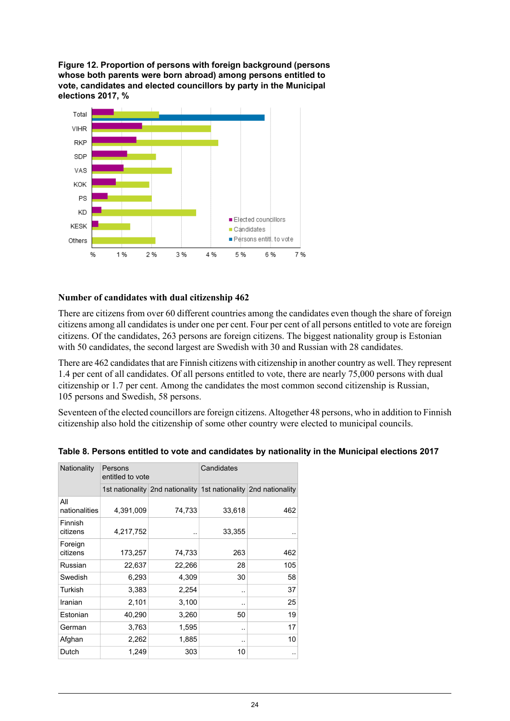<span id="page-23-1"></span>**Figure 12. Proportion of persons with foreign background (persons whose both parents were born abroad) among persons entitled to vote, candidates and elected councillors by party in the Municipal elections 2017, %**



#### **Number of candidates with dual citizenship 462**

There are citizens from over 60 different countries among the candidates even though the share of foreign citizens among all candidates is under one per cent. Four per cent of all persons entitled to vote are foreign citizens. Of the candidates, 263 persons are foreign citizens. The biggest nationality group is Estonian with 50 candidates, the second largest are Swedish with 30 and Russian with 28 candidates.

There are 462 candidates that are Finnish citizens with citizenship in another country as well. They represent 1.4 per cent of all candidates. Of all persons entitled to vote, there are nearly 75,000 persons with dual citizenship or 1.7 per cent. Among the candidates the most common second citizenship is Russian, 105 persons and Swedish, 58 persons.

<span id="page-23-0"></span>Seventeen of the elected councillors are foreign citizens. Altogether 48 persons, who in addition to Finnish citizenship also hold the citizenship of some other country were elected to municipal councils.

| Nationality          | Persons<br>entitled to vote |                                                                 | Candidates             |     |  |  |
|----------------------|-----------------------------|-----------------------------------------------------------------|------------------------|-----|--|--|
|                      |                             | 1st nationality 2nd nationality 1st nationality 2nd nationality |                        |     |  |  |
| All<br>nationalities | 4,391,009                   | 74,733                                                          | 33,618                 | 462 |  |  |
| Finnish<br>citizens  | 4,217,752                   | . .                                                             | 33,355                 |     |  |  |
| Foreign<br>citizens  | 173,257                     | 74,733                                                          | 263                    | 462 |  |  |
| Russian              | 22,637                      | 22,266                                                          | 28                     | 105 |  |  |
| Swedish              | 6,293                       | 4,309                                                           | 30                     | 58  |  |  |
| Turkish              | 3,383                       | 2,254                                                           | . .                    | 37  |  |  |
| Iranian              | 2,101                       | 3,100                                                           |                        | 25  |  |  |
| Estonian             | 40,290                      | 3,260                                                           | 50                     | 19  |  |  |
| German               | 3,763                       | 1,595                                                           |                        | 17  |  |  |
| Afghan               | 2,262                       | 1,885                                                           | $\ddot{\phantom{1}}$ . | 10  |  |  |
| Dutch                | 1,249                       | 303                                                             | 10                     |     |  |  |

| Table 8. Persons entitled to vote and candidates by nationality in the Municipal elections 2017 |  |  |
|-------------------------------------------------------------------------------------------------|--|--|
|                                                                                                 |  |  |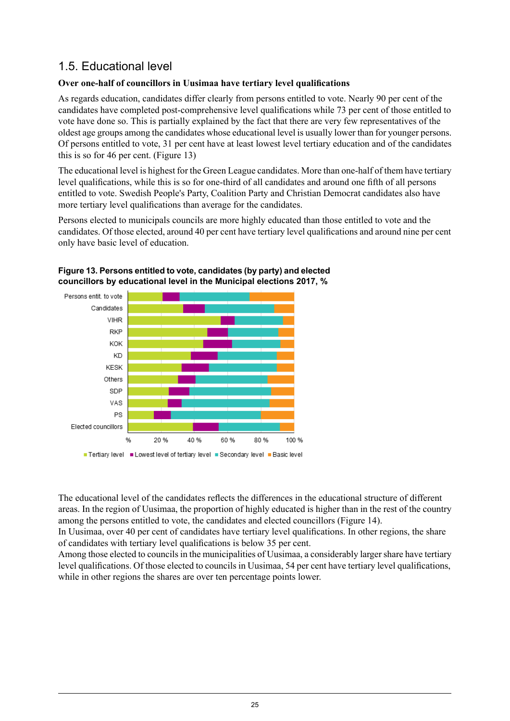### <span id="page-24-0"></span>1.5. Educational level

#### **Over one-half of councillors in Uusimaa have tertiary level qualifications**

As regards education, candidates differ clearly from persons entitled to vote. Nearly 90 per cent of the candidates have completed post-comprehensive level qualifications while 73 per cent of those entitled to vote have done so. This is partially explained by the fact that there are very few representatives of the oldest age groups among the candidates whose educational level is usually lower than for younger persons. Of persons entitled to vote, 31 per cent have at least lowest level tertiary education and of the candidates this is so for 46 per cent. (Figure 13)

The educational level is highest for the Green League candidates. More than one-half of them have tertiary level qualifications, while this is so for one-third of all candidates and around one fifth of all persons entitled to vote. Swedish People's Party, Coalition Party and Christian Democrat candidates also have more tertiary level qualifications than average for the candidates.

<span id="page-24-1"></span>Persons elected to municipals councils are more highly educated than those entitled to vote and the candidates. Of those elected, around 40 per cent have tertiary level qualifications and around nine per cent only have basic level of education.





The educational level of the candidates reflects the differences in the educational structure of different areas. In the region of Uusimaa, the proportion of highly educated is higher than in the rest of the country among the persons entitled to vote, the candidates and elected councillors (Figure 14).

In Uusimaa, over 40 per cent of candidates have tertiary level qualifications. In other regions, the share of candidates with tertiary level qualifications is below 35 per cent.

Among those elected to councils in the municipalities of Uusimaa, a considerably larger share have tertiary level qualifications. Of those elected to councils in Uusimaa, 54 per cent have tertiary level qualifications, while in other regions the shares are over ten percentage points lower.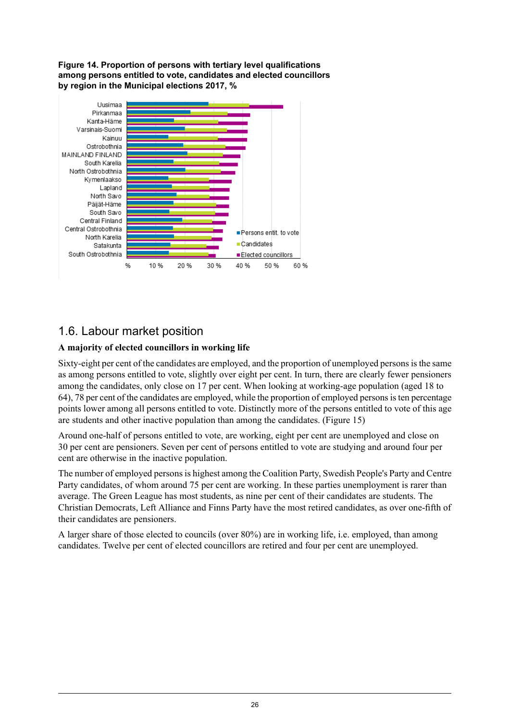<span id="page-25-1"></span>**Figure 14. Proportion of persons with tertiary level qualifications among persons entitled to vote, candidates and elected councillors by region in the Municipal elections 2017, %**



### <span id="page-25-0"></span>1.6. Labour market position

#### **A majority of elected councillors in working life**

Sixty-eight per cent of the candidates are employed, and the proportion of unemployed persons is the same as among persons entitled to vote, slightly over eight per cent. In turn, there are clearly fewer pensioners among the candidates, only close on 17 per cent. When looking at working-age population (aged 18 to 64), 78 per cent of the candidates are employed, while the proportion of employed persons is ten percentage points lower among all persons entitled to vote. Distinctly more of the persons entitled to vote of this age are students and other inactive population than among the candidates. (Figure 15)

Around one-half of persons entitled to vote, are working, eight per cent are unemployed and close on 30 per cent are pensioners. Seven per cent of persons entitled to vote are studying and around four per cent are otherwise in the inactive population.

The number of employed persons is highest among the Coalition Party, Swedish People's Party and Centre Party candidates, of whom around 75 per cent are working. In these parties unemployment is rarer than average. The Green League has most students, as nine per cent of their candidates are students. The Christian Democrats, Left Alliance and Finns Party have the most retired candidates, as over one-fifth of their candidates are pensioners.

A larger share of those elected to councils (over 80%) are in working life, i.e. employed, than among candidates. Twelve per cent of elected councillors are retired and four per cent are unemployed.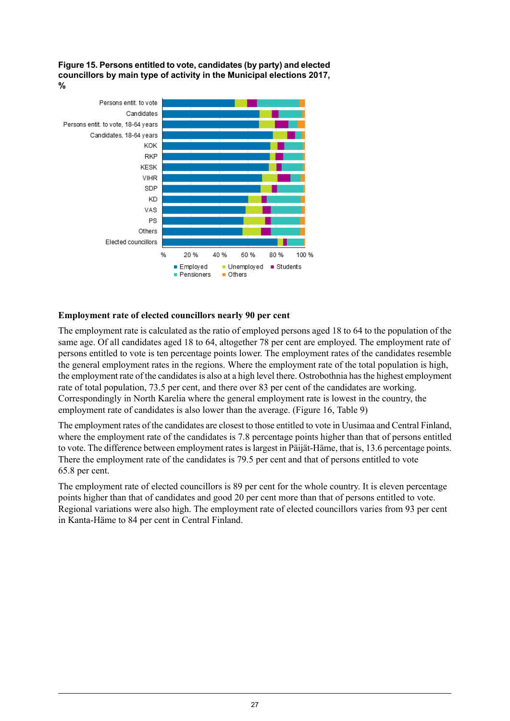<span id="page-26-0"></span>**Figure 15. Persons entitled to vote, candidates (by party) and elected councillors by main type of activity in the Municipal elections 2017, %**



#### **Employment rate of elected councillors nearly 90 per cent**

The employment rate is calculated as the ratio of employed persons aged 18 to 64 to the population of the same age. Of all candidates aged 18 to 64, altogether 78 per cent are employed. The employment rate of persons entitled to vote is ten percentage points lower. The employment rates of the candidates resemble the general employment rates in the regions. Where the employment rate of the total population is high, the employment rate of the candidatesis also at a high level there. Ostrobothnia hasthe highest employment rate of total population, 73.5 per cent, and there over 83 per cent of the candidates are working. Correspondingly in North Karelia where the general employment rate is lowest in the country, the employment rate of candidates is also lower than the average. (Figure 16, Table 9)

The employment rates of the candidates are closest to those entitled to vote in Uusimaa and Central Finland, where the employment rate of the candidates is 7.8 percentage points higher than that of persons entitled to vote. The difference between employment rates is largest in Päijät-Häme, that is, 13.6 percentage points. There the employment rate of the candidates is 79.5 per cent and that of persons entitled to vote 65.8 per cent.

The employment rate of elected councillors is 89 per cent for the whole country. It is eleven percentage points higher than that of candidates and good 20 per cent more than that of persons entitled to vote. Regional variations were also high. The employment rate of elected councillors varies from 93 per cent in Kanta-Häme to 84 per cent in Central Finland.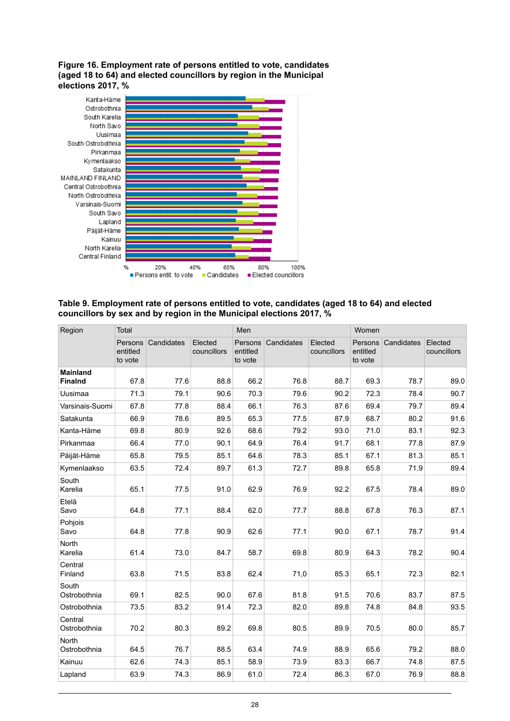#### <span id="page-27-1"></span>**Figure 16. Employment rate of persons entitled to vote, candidates (aged 18 to 64) and elected councillors by region in the Municipal elections 2017, %**



<span id="page-27-0"></span>**Table 9. Employment rate of persons entitled to vote, candidates (aged 18 to 64) and elected councillors by sex and by region in the Municipal elections 2017, %**

| Region                            | Total                          |            |                        | Men                            |            |                        | Women                          |            |                        |
|-----------------------------------|--------------------------------|------------|------------------------|--------------------------------|------------|------------------------|--------------------------------|------------|------------------------|
|                                   | Persons<br>entitled<br>to vote | Candidates | Elected<br>councillors | Persons<br>entitled<br>to vote | Candidates | Elected<br>councillors | Persons<br>entitled<br>to vote | Candidates | Elected<br>councillors |
| <b>Mainland</b><br><b>Finalnd</b> | 67.8                           | 77.6       | 88.8                   | 66.2                           | 76.8       | 88.7                   | 69.3                           | 78.7       | 89.0                   |
| Uusimaa                           | 71.3                           | 79.1       | 90.6                   | 70.3                           | 79.6       | 90.2                   | 72.3                           | 78.4       | 90.7                   |
| Varsinais-Suomi                   | 67.8                           | 77.8       | 88.4                   | 66.1                           | 76.3       | 87.6                   | 69.4                           | 79.7       | 89.4                   |
| Satakunta                         | 66.9                           | 78.6       | 89.5                   | 65.3                           | 77.5       | 879                    | 68.7                           | 80.2       | 91.6                   |
| Kanta-Häme                        | 69.8                           | 80.9       | 92.6                   | 68.6                           | 79.2       | 93.0                   | 71.0                           | 83.1       | 92.3                   |
| Pirkanmaa                         | 66.4                           | 77.0       | 90.1                   | 64.9                           | 76.4       | 91.7                   | 68.1                           | 77.8       | 87.9                   |
| Päijät-Häme                       | 65.8                           | 79.5       | 85.1                   | 64.6                           | 78.3       | 85.1                   | 67.1                           | 81.3       | 85.1                   |
| Kymenlaakso                       | 63.5                           | 72.4       | 89.7                   | 61.3                           | 72.7       | 89.8                   | 65.8                           | 71.9       | 89.4                   |
| South<br>Karelia                  | 65.1                           | 77.5       | 91.0                   | 62.9                           | 76.9       | 92.2                   | 67.5                           | 78.4       | 89.0                   |
| Etelä<br>Savo                     | 64.8                           | 77.1       | 88.4                   | 62.0                           | 77.7       | 88.8                   | 67.8                           | 76.3       | 87.1                   |
| Pohjois<br>Savo                   | 64.8                           | 77.8       | 90.9                   | 62.6                           | 77.1       | 90.0                   | 67.1                           | 78.7       | 91.4                   |
| <b>North</b><br>Karelia           | 61.4                           | 73.0       | 84.7                   | 58.7                           | 69.8       | 80.9                   | 64.3                           | 78.2       | 90.4                   |
| Central<br>Finland                | 63.8                           | 71.5       | 83.8                   | 62.4                           | 71,0       | 85.3                   | 65.1                           | 72.3       | 82.1                   |
| South<br>Ostrobothnia             | 69.1                           | 82.5       | 90.0                   | 67.6                           | 81.8       | 91.5                   | 70.6                           | 83.7       | 87.5                   |
| Ostrobothnia                      | 73.5                           | 83.2       | 91.4                   | 72.3                           | 82.0       | 89.8                   | 74.8                           | 84.8       | 93.5                   |
| Central<br>Ostrobothnia           | 70.2                           | 80.3       | 89.2                   | 69.8                           | 80.5       | 89.9                   | 70.5                           | 80.0       | 85.7                   |
| <b>North</b><br>Ostrobothnia      | 64.5                           | 76.7       | 88.5                   | 63.4                           | 74.9       | 88.9                   | 65.6                           | 79.2       | 88.0                   |
| Kainuu                            | 62.6                           | 74.3       | 85.1                   | 58.9                           | 73.9       | 83.3                   | 66.7                           | 74.8       | 87.5                   |
| Lapland                           | 63.9                           | 74.3       | 86.9                   | 61.0                           | 72.4       | 86.3                   | 67.0                           | 76.9       | 88.8                   |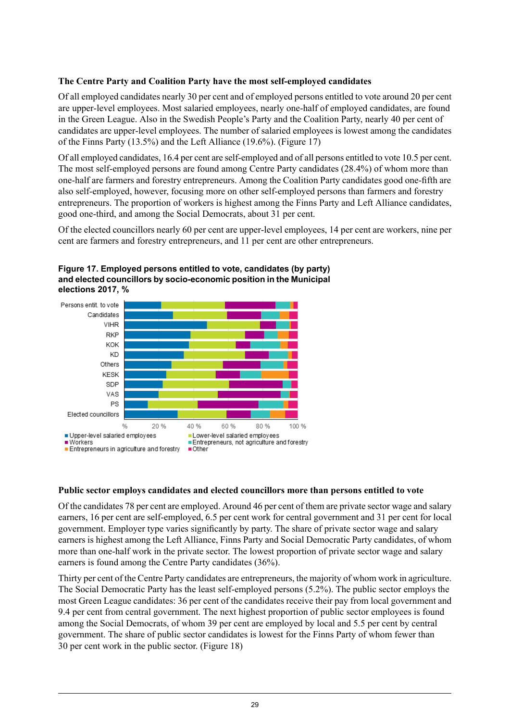#### **The Centre Party and Coalition Party have the most self-employed candidates**

Of all employed candidates nearly 30 per cent and of employed persons entitled to vote around 20 per cent are upper-level employees. Most salaried employees, nearly one-half of employed candidates, are found in the Green League. Also in the Swedish People's Party and the Coalition Party, nearly 40 per cent of candidates are upper-level employees. The number of salaried employees is lowest among the candidates of the Finns Party (13.5%) and the Left Alliance (19.6%). (Figure 17)

Of all employed candidates, 16.4 per cent are self-employed and of all persons entitled to vote 10.5 per cent. The most self-employed persons are found among Centre Party candidates (28.4%) of whom more than one-half are farmers and forestry entrepreneurs. Among the Coalition Party candidates good one-fifth are also self-employed, however, focusing more on other self-employed persons than farmers and forestry entrepreneurs. The proportion of workers is highest among the Finns Party and Left Alliance candidates, good one-third, and among the Social Democrats, about 31 per cent.

<span id="page-28-0"></span>Of the elected councillors nearly 60 per cent are upper-level employees, 14 per cent are workers, nine per cent are farmers and forestry entrepreneurs, and 11 per cent are other entrepreneurs.



**Figure 17. Employed persons entitled to vote, candidates (by party) and elected councillors by socio-economic position in the Municipal elections 2017, %**

#### **Public sector employs candidates and elected councillors more than persons entitled to vote**

Of the candidates 78 per cent are employed. Around 46 per cent of them are private sector wage and salary earners, 16 per cent are self-employed, 6.5 per cent work for central government and 31 per cent for local government. Employer type varies significantly by party. The share of private sector wage and salary earners is highest among the Left Alliance, Finns Party and Social Democratic Party candidates, of whom more than one-half work in the private sector. The lowest proportion of private sector wage and salary earners is found among the Centre Party candidates (36%).

Thirty per cent of the Centre Party candidates are entrepreneurs, the majority of whom work in agriculture. The Social Democratic Party has the least self-employed persons (5.2%). The public sector employs the most Green League candidates: 36 per cent of the candidates receive their pay from local government and 9.4 per cent from central government. The next highest proportion of public sector employees is found among the Social Democrats, of whom 39 per cent are employed by local and 5.5 per cent by central government. The share of public sector candidates is lowest for the Finns Party of whom fewer than 30 per cent work in the public sector. (Figure 18)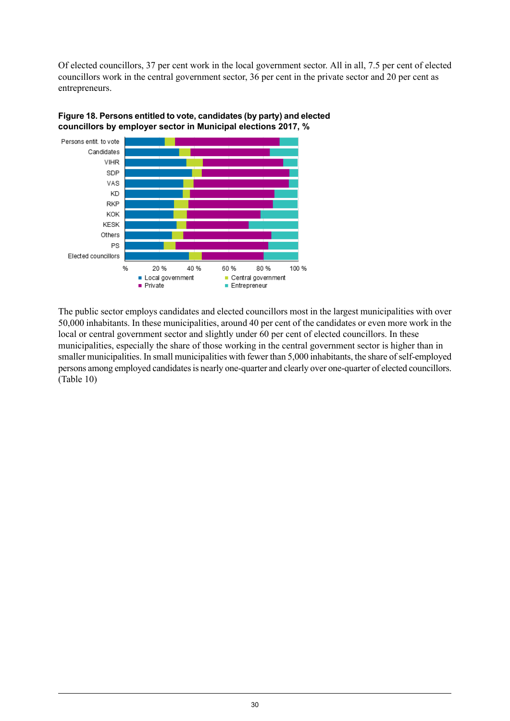Of elected councillors, 37 per cent work in the local government sector. All in all, 7.5 per cent of elected councillors work in the central government sector, 36 per cent in the private sector and 20 per cent as entrepreneurs.



<span id="page-29-0"></span>

The public sector employs candidates and elected councillors most in the largest municipalities with over 50,000 inhabitants. In these municipalities, around 40 per cent of the candidates or even more work in the local or central government sector and slightly under 60 per cent of elected councillors. In these municipalities, especially the share of those working in the central government sector is higher than in smaller municipalities. In small municipalities with fewer than 5,000 inhabitants, the share of self-employed persons among employed candidates is nearly one-quarter and clearly over one-quarter of elected councillors. (Table 10)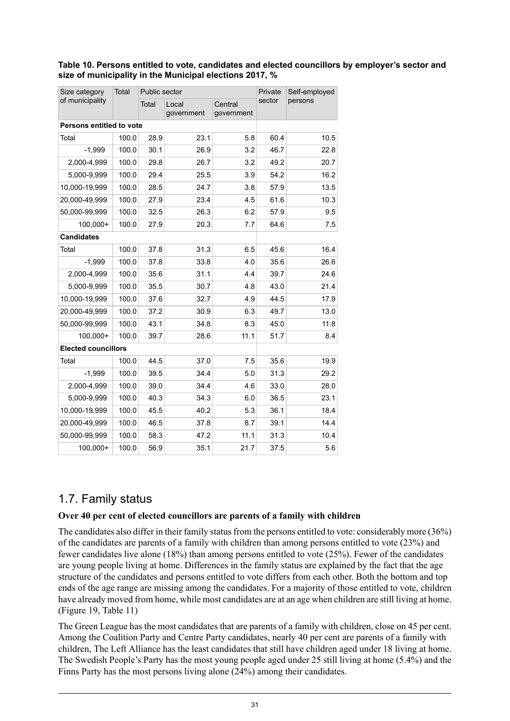#### <span id="page-30-1"></span>**Table 10. Persons entitled to vote, candidates and elected councillors by employer's sector and size of municipality in the Municipal elections 2017, %**

| Size category                   | Total | Public sector |                     | Private               | Self-employed |         |
|---------------------------------|-------|---------------|---------------------|-----------------------|---------------|---------|
| of municipality                 |       | Total         | Local<br>government | Central<br>government | sector        | persons |
| <b>Persons entitled to vote</b> |       |               |                     |                       |               |         |
| Total                           | 100.0 | 28.9          | 23.1                | 5.8                   | 60.4          | 10.5    |
| $-1,999$                        | 100.0 | 30.1          | 26.9                | 3.2                   | 46.7          | 22.8    |
| 2,000-4,999                     | 100.0 | 29.8          | 26.7                | 3.2                   | 49.2          | 20.7    |
| 5,000-9,999                     | 100.0 | 29.4          | 25.5                | 3.9                   | 54.2          | 16.2    |
| 10,000-19,999                   | 100.0 | 28.5          | 24.7                | 3.8                   | 57.9          | 13.5    |
| 20.000-49.999                   | 100.0 | 27.9          | 23.4                | 4.5                   | 61.6          | 10.3    |
| 50,000-99,999                   | 100.0 | 32.5          | 26.3                | 6.2                   | 57.9          | 9.5     |
| 100,000+                        | 100.0 | 27.9          | 20.3                | 7.7                   | 64.6          | 7.5     |
| <b>Candidates</b>               |       |               |                     |                       |               |         |
| Total                           | 100.0 | 37.8          | 31.3                | 6.5                   | 45.6          | 16.4    |
| $-1,999$                        | 100.0 | 37.8          | 33.8                | 4.0                   | 35.6          | 26.6    |
| 2,000-4,999                     | 100.0 | 35.6          | 31.1                | 4.4                   | 39.7          | 24.6    |
| 5,000-9,999                     | 100.0 | 35.5          | 30.7                | 4.8                   | 43.0          | 21.4    |
| 10,000-19,999                   | 100.0 | 37.6          | 32.7                | 4.9                   | 44.5          | 17.9    |
| 20,000-49,999                   | 100.0 | 37.2          | 30.9                | 6.3                   | 49.7          | 13.0    |
| 50,000-99,999                   | 100.0 | 43.1          | 34.8                | 8.3                   | 45.0          | 11.8    |
| 100,000+                        | 100.0 | 39.7          | 28.6                | 11.1                  | 51.7          | 8.4     |
| <b>Elected councillors</b>      |       |               |                     |                       |               |         |
| Total                           | 100.0 | 44.5          | 37.0                | 7.5                   | 35.6          | 19.9    |
| $-1.999$                        | 100.0 | 39.5          | 34.4                | 5.0                   | 31.3          | 29.2    |
| 2,000-4,999                     | 100.0 | 39.0          | 34.4                | 4.6                   | 33.0          | 28.0    |
| 5,000-9,999                     | 100.0 | 40.3          | 34.3                | 6.0                   | 36.5          | 23.1    |
| 10,000-19,999                   | 100.0 | 45.5          | 40.2                | 5.3                   | 36.1          | 18.4    |
| 20,000-49,999                   | 100.0 | 46.5          | 37.8                | 8.7                   | 39.1          | 14.4    |
| 50,000-99,999                   | 100.0 | 58.3          | 47.2                | 11.1                  | 31.3          | 10.4    |
| 100,000+                        | 100.0 | 56.9          | 35.1                | 21.7                  | 37.5          | 5.6     |

### <span id="page-30-0"></span>1.7. Family status

#### **Over 40 per cent of elected councillors are parents of a family with children**

The candidates also differ in their family status from the persons entitled to vote: considerably more (36%) of the candidates are parents of a family with children than among persons entitled to vote (23%) and fewer candidates live alone (18%) than among persons entitled to vote (25%). Fewer of the candidates are young people living at home. Differences in the family status are explained by the fact that the age structure of the candidates and persons entitled to vote differs from each other. Both the bottom and top ends of the age range are missing among the candidates. For a majority of those entitled to vote, children have already moved from home, while most candidates are at an age when children are still living at home. (Figure 19, Table 11)

The Green League has the most candidates that are parents of a family with children, close on 45 per cent. Among the Coalition Party and Centre Party candidates, nearly 40 per cent are parents of a family with children, The Left Alliance has the least candidates that still have children aged under 18 living at home. The Swedish People's Party has the most young people aged under 25 still living at home (5.4%) and the Finns Party has the most persons living alone (24%) among their candidates.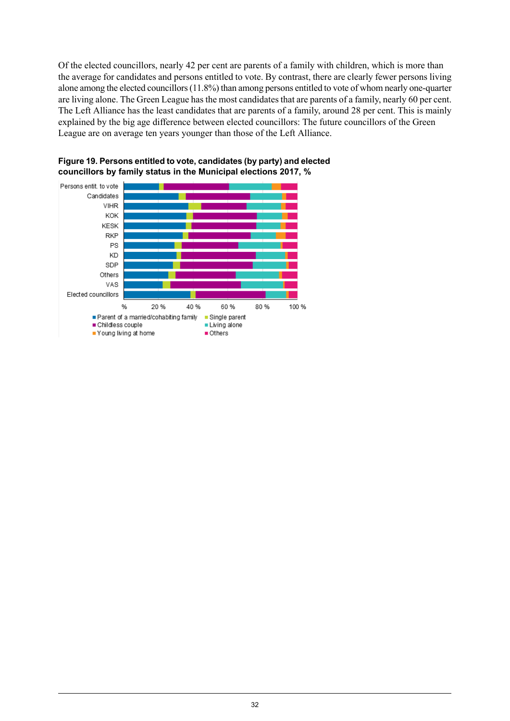Of the elected councillors, nearly 42 per cent are parents of a family with children, which is more than the average for candidates and persons entitled to vote. By contrast, there are clearly fewer persons living alone among the elected councillors(11.8%) than among persons entitled to vote of whom nearly one-quarter are living alone. The Green League has the most candidates that are parents of a family, nearly 60 per cent. The Left Alliance has the least candidates that are parents of a family, around 28 per cent. This is mainly explained by the big age difference between elected councillors: The future councillors of the Green League are on average ten years younger than those of the Left Alliance.



<span id="page-31-0"></span>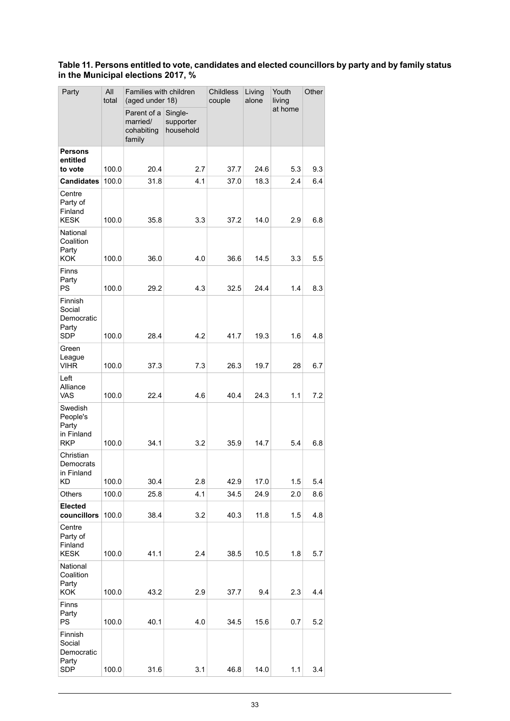#### <span id="page-32-0"></span>**Table 11. Persons entitled to vote, candidates and elected councillors by party and by family status in the Municipal elections 2017, %**

| Party                                                    | All<br>total | Families with children<br>(aged under 18)       |                                   | <b>Childless</b><br>couple | Living<br>alone | Youth<br>living | Other |
|----------------------------------------------------------|--------------|-------------------------------------------------|-----------------------------------|----------------------------|-----------------|-----------------|-------|
|                                                          |              | Parent of a<br>married/<br>cohabiting<br>family | Single-<br>supporter<br>household |                            |                 | at home         |       |
| <b>Persons</b><br>entitled                               |              |                                                 |                                   |                            |                 |                 |       |
| to vote                                                  | 100.0        | 20.4                                            | 2.7                               | 37.7                       | 24.6            | 5.3             | 9.3   |
| <b>Candidates</b>                                        | 100.0        | 31.8                                            | 4.1                               | 37.0                       | 18.3            | 2.4             | 6.4   |
| Centre<br>Party of<br>Finland<br><b>KESK</b>             | 100.0        | 35.8                                            | 3.3                               | 37.2                       | 14.0            | 2.9             | 6.8   |
| National<br>Coalition<br>Party<br><b>KOK</b>             | 100.0        | 36.0                                            | 4.0                               | 36.6                       | 14.5            | 3.3             | 5.5   |
| Finns<br>Party<br>PS                                     | 100.0        | 29.2                                            | 4.3                               | 32.5                       | 24.4            | 1.4             | 8.3   |
| Finnish<br>Social<br>Democratic<br>Party<br>SDP          | 100.0        | 28.4                                            | 4.2                               | 41.7                       | 19.3            | 1.6             | 4.8   |
| Green                                                    |              |                                                 |                                   |                            |                 |                 |       |
| League<br><b>VIHR</b>                                    | 100.0        | 37.3                                            | 7.3                               | 26.3                       | 19.7            | 28              | 6.7   |
| Left<br>Alliance<br>VAS                                  | 100.0        | 22.4                                            | 4.6                               | 40.4                       | 24.3            | 1.1             | 7.2   |
| Swedish<br>People's<br>Party<br>in Finland<br><b>RKP</b> | 100.0        | 34.1                                            | 3.2                               | 35.9                       | 14.7            | 5.4             | 6.8   |
| Christian<br>Democrats<br>in Finland<br>KD               | 100.0        | 30.4                                            | 2.8                               | 42.9                       | 17.0            | 1.5             | 5.4   |
| Others                                                   | 100.0        | 25.8                                            | 4.1                               | 34.5                       | 24.9            | 2.0             | 8.6   |
| <b>Elected</b><br>councillors                            | 100.0        | 38.4                                            | 3.2                               | 40.3                       | 11.8            | 1.5             | 4.8   |
| Centre<br>Party of<br>Finland<br><b>KESK</b>             | 100.0        | 41.1                                            | 2.4                               | 38.5                       | 10.5            | 1.8             | 5.7   |
| National<br>Coalition<br>Party<br>KOK                    | 100.0        | 43.2                                            | 2.9                               | 37.7                       | 9.4             | 2.3             | 4.4   |
| Finns<br>Party<br>PS                                     | 100.0        | 40.1                                            | 4.0                               | 34.5                       | 15.6            | 0.7             | 5.2   |
| Finnish<br>Social<br>Democratic<br>Party<br><b>SDP</b>   | 100.0        | 31.6                                            | 3.1                               | 46.8                       | 14.0            | 1.1             | 3.4   |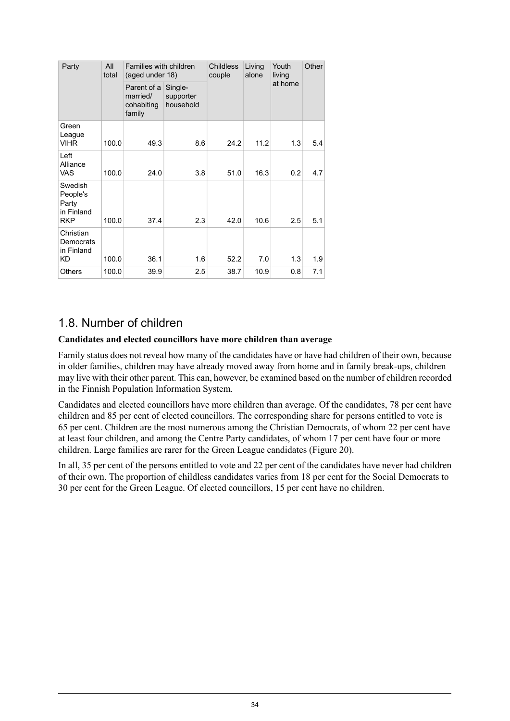| Party                                                    | All<br>total | Families with children<br>(aged under 18)       |                                   | <b>Childless</b><br>couple | Living<br>alone | Youth<br>living | Other |
|----------------------------------------------------------|--------------|-------------------------------------------------|-----------------------------------|----------------------------|-----------------|-----------------|-------|
|                                                          |              | Parent of a<br>married/<br>cohabiting<br>family | Single-<br>supporter<br>household |                            |                 | at home         |       |
| Green<br>League<br><b>VIHR</b>                           | 100.0        | 49.3                                            | 8.6                               | 24.2                       | 11.2            | 1.3             | 5.4   |
| Left<br>Alliance<br><b>VAS</b>                           | 100.0        | 24.0                                            | 3.8                               | 51.0                       | 16.3            | 0.2             | 4.7   |
| Swedish<br>People's<br>Party<br>in Finland<br><b>RKP</b> | 100.0        | 37.4                                            | 2.3                               | 42.0                       | 10.6            | 2.5             | 5.1   |
| Christian<br>Democrats<br>in Finland<br>KD               | 100.0        | 36.1                                            | 1.6                               | 52.2                       | 7.0             | 1.3             | 1.9   |
| <b>Others</b>                                            | 100.0        | 39.9                                            | 2.5                               | 38.7                       | 10.9            | 0.8             | 7.1   |

### <span id="page-33-0"></span>1.8. Number of children

#### **Candidates and elected councillors have more children than average**

Family status does not reveal how many of the candidates have or have had children of their own, because in older families, children may have already moved away from home and in family break-ups, children may live with their other parent. This can, however, be examined based on the number of children recorded in the Finnish Population Information System.

Candidates and elected councillors have more children than average. Of the candidates, 78 per cent have children and 85 per cent of elected councillors. The corresponding share for persons entitled to vote is 65 per cent. Children are the most numerous among the Christian Democrats, of whom 22 per cent have at least four children, and among the Centre Party candidates, of whom 17 per cent have four or more children. Large families are rarer for the Green League candidates (Figure 20).

In all, 35 per cent of the persons entitled to vote and 22 per cent of the candidates have never had children of their own. The proportion of childless candidates varies from 18 per cent for the Social Democrats to 30 per cent for the Green League. Of elected councillors, 15 per cent have no children.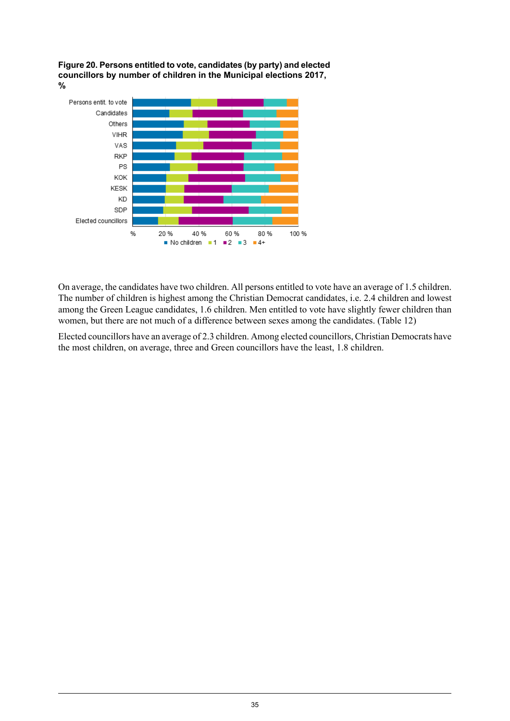<span id="page-34-0"></span>



On average, the candidates have two children. All persons entitled to vote have an average of 1.5 children. The number of children is highest among the Christian Democrat candidates, i.e. 2.4 children and lowest among the Green League candidates, 1.6 children. Men entitled to vote have slightly fewer children than women, but there are not much of a difference between sexes among the candidates. (Table 12)

Elected councillors have an average of 2.3 children. Among elected councillors, Christian Democrats have the most children, on average, three and Green councillors have the least, 1.8 children.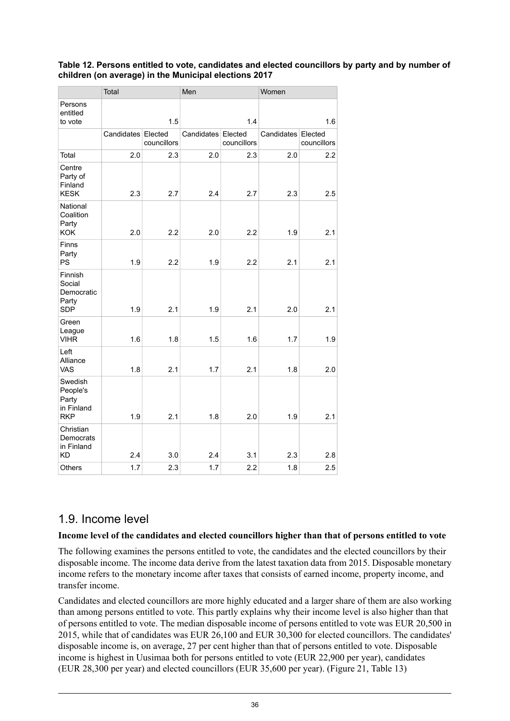#### <span id="page-35-1"></span>**Table 12. Persons entitled to vote, candidates and elected councillors by party and by number of children (on average) in the Municipal elections 2017**

|                                                               | Total              |             | Men        |                        | Women |                                   |  |
|---------------------------------------------------------------|--------------------|-------------|------------|------------------------|-------|-----------------------------------|--|
| Persons<br>entitled<br>to vote                                |                    | 1.5         |            | 1.4                    | 1.6   |                                   |  |
|                                                               | Candidates Elected | councillors | Candidates | Elected<br>councillors |       | Candidates Elected<br>councillors |  |
| Total                                                         | 2.0                | 2.3         | 2.0        | 2.3                    | 2.0   | 2.2                               |  |
| Centre<br>Party of<br>Finland<br><b>KESK</b>                  | 2.3                | 2.7         | 2.4        | 2.7                    | 2.3   | 2.5                               |  |
| National<br>Coalition<br>Party<br>KOK                         | 2.0                | 2.2         | 2.0        | 2.2                    | 1.9   | 2.1                               |  |
| Finns<br>Party<br><b>PS</b>                                   | 1.9                | 2.2         | 1.9        | 2.2                    | 2.1   | 2.1                               |  |
| <b>Finnish</b><br>Social<br>Democratic<br>Party<br><b>SDP</b> | 1.9                | 2.1         | 1.9        | 2.1                    | 2.0   | 2.1                               |  |
| Green<br>League<br><b>VIHR</b>                                | 1.6                | 1.8         | 1.5        | 1.6                    | 1.7   | 1.9                               |  |
| Left<br>Alliance<br>VAS                                       | 1.8                | 2.1         | 1.7        | 2.1                    | 1.8   | 2.0                               |  |
| Swedish<br>People's<br>Party<br>in Finland<br><b>RKP</b>      | 1.9                | 2.1         | 1.8        | 2.0                    | 1.9   | 2.1                               |  |
| Christian<br>Democrats<br>in Finland<br>KD                    | 2.4                | 3.0         | 2.4        | 3.1                    | 2.3   | 2.8                               |  |
| Others                                                        | 1.7                | 2.3         | 1.7        | 2.2                    | 1.8   | 2.5                               |  |

### <span id="page-35-0"></span>1.9. Income level

#### **Income level of the candidates and elected councillors higher than that of persons entitled to vote**

The following examines the persons entitled to vote, the candidates and the elected councillors by their disposable income. The income data derive from the latest taxation data from 2015. Disposable monetary income refers to the monetary income after taxes that consists of earned income, property income, and transfer income.

Candidates and elected councillors are more highly educated and a larger share of them are also working than among persons entitled to vote. This partly explains why their income level is also higher than that of persons entitled to vote. The median disposable income of persons entitled to vote was EUR 20,500 in 2015, while that of candidates was EUR  $26,100$  and EUR 30,300 for elected councillors. The candidates' disposable income is, on average, 27 per cent higher than that of persons entitled to vote. Disposable income is highest in Uusimaa both for persons entitled to vote (EUR 22,900 per year), candidates (EUR 28,300 per year) and elected councillors (EUR 35,600 per year). (Figure 21, Table 13)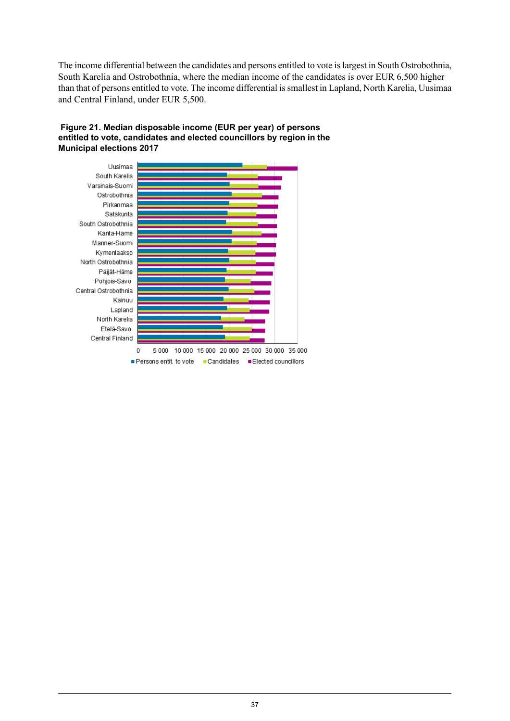The income differential between the candidates and persons entitled to vote is largest in South Ostrobothnia, South Karelia and Ostrobothnia, where the median income of the candidates is over EUR 6,500 higher than that of persons entitled to vote. The income differential is smallest in Lapland, North Karelia, Uusimaa and Central Finland, under EUR 5,500.



#### <span id="page-36-0"></span>**Figure 21. Median disposable income (EUR per year) of persons entitled to vote, candidates and elected councillors by region in the Municipal elections 2017**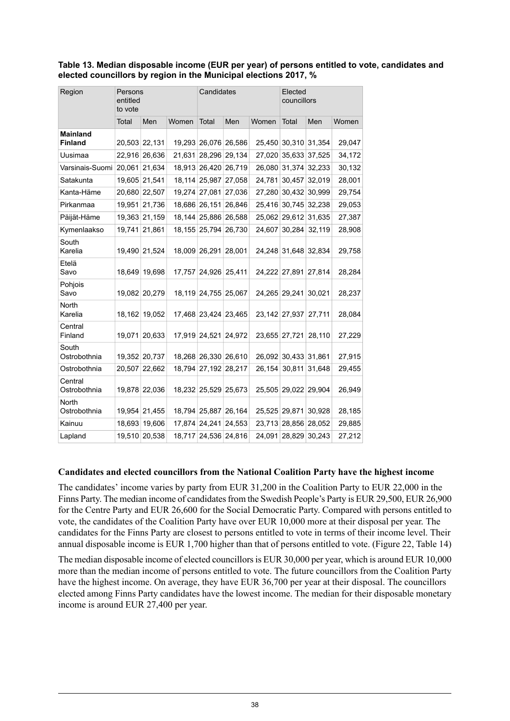<span id="page-37-0"></span>**Table 13. Median disposable income (EUR per year) of persons entitled to vote, candidates and elected councillors by region in the Municipal elections 2017, %**

| Region                            | Persons<br>entitled<br>to vote |               |        | Candidates           |        |               | Elected<br>councillors |        |        |
|-----------------------------------|--------------------------------|---------------|--------|----------------------|--------|---------------|------------------------|--------|--------|
|                                   | Total                          | Men           | Women  | Total                | Men    | Women         | Total                  | Men    | Women  |
| <b>Mainland</b><br><b>Finland</b> |                                | 20,503 22,131 |        | 19,293 26,076        | 26,586 |               | 25,450 30,310          | 31,354 | 29,047 |
| Uusimaa                           |                                | 22,916 26,636 | 21,631 | 28,296               | 29,134 | 27,020        | 35,633                 | 37,525 | 34,172 |
| Varsinais-Suomi                   |                                | 20,061 21,634 |        | 18,913 26,420        | 26,719 |               | 26,080 31,374          | 32,233 | 30,132 |
| Satakunta                         |                                | 19,605 21,541 |        | 18,114 25,987        | 27,058 | 24,781        | 30,457                 | 32,019 | 28,001 |
| Kanta-Häme                        |                                | 20,680 22,507 |        | 19,274 27,081        | 27,036 | 27,280        | 30,432                 | 30,999 | 29,754 |
| Pirkanmaa                         |                                | 19,951 21,736 |        | 18,686 26,151        | 26,846 |               | 25,416 30,745 32,238   |        | 29,053 |
| Päijät-Häme                       |                                | 19,363 21,159 |        | 18,144 25,886        | 26,588 |               | 25,062 29,612          | 31,635 | 27,387 |
| Kymenlaakso                       | 19,741                         | 21,861        | 18,155 | 25,794               | 26,730 | 24,607        | 30,284                 | 32,119 | 28,908 |
| South<br>Karelia                  | 19,490                         | 21,524        | 18,009 | 26,291               | 28,001 |               | 24,248 31,648          | 32,834 | 29,758 |
| Etelä<br>Savo                     | 18,649                         | 19,698        | 17,757 | 24,926               | 25,411 |               | 24,222 27,891          | 27,814 | 28,284 |
| Pohjois<br>Savo                   |                                | 19,082 20,279 | 18,119 | 24,755               | 25,067 | 24,265 29,241 |                        | 30,021 | 28,237 |
| North<br>Karelia                  | 18,162                         | 19,052        |        | 17,468 23,424 23,465 |        | 23,142 27,937 |                        | 27,711 | 28,084 |
| Central<br>Finland                | 19,071                         | 20,633        |        | 17,919 24,521        | 24,972 | 23,655 27,721 |                        | 28,110 | 27,229 |
| South<br>Ostrobothnia             |                                | 19,352 20,737 |        | 18,268 26,330        | 26,610 |               | 26,092 30,433          | 31,861 | 27,915 |
| Ostrobothnia                      | 20,507                         | 22,662        | 18,794 | 27,192               | 28,217 | 26,154        | 30,811                 | 31,648 | 29,455 |
| Central<br>Ostrobothnia           |                                | 19,878 22,036 |        | 18,232 25,529        | 25,673 |               | 25,505 29,022          | 29,904 | 26,949 |
| North<br>Ostrobothnia             |                                | 19,954 21,455 |        | 18,794 25,887 26,164 |        | 25,525 29,871 |                        | 30,928 | 28,185 |
| Kainuu                            |                                | 18,693 19,606 |        | 17,874 24,241        | 24,553 |               | 23,713 28,856          | 28,052 | 29,885 |
| Lapland                           |                                | 19,510 20,538 |        | 18,717 24,536 24,816 |        |               | 24,091 28,829          | 30,243 | 27,212 |

#### **Candidates and elected councillors from the National Coalition Party have the highest income**

The candidates' income varies by party from EUR 31,200 in the Coalition Party to EUR 22,000 in the Finns Party. The median income of candidates from the Swedish People's Party is EUR 29,500, EUR 26,900 for the Centre Party and EUR 26,600 for the Social Democratic Party. Compared with persons entitled to vote, the candidates of the Coalition Party have over EUR 10,000 more at their disposal per year. The candidates for the Finns Party are closest to persons entitled to vote in terms of their income level. Their annual disposable income is EUR 1,700 higher than that of persons entitled to vote. (Figure 22, Table 14)

The median disposable income of elected councillors is EUR 30,000 per year, which is around EUR 10,000 more than the median income of persons entitled to vote. The future councillors from the Coalition Party have the highest income. On average, they have EUR 36,700 per year at their disposal. The councillors elected among Finns Party candidates have the lowest income. The median for their disposable monetary income is around EUR 27,400 per year.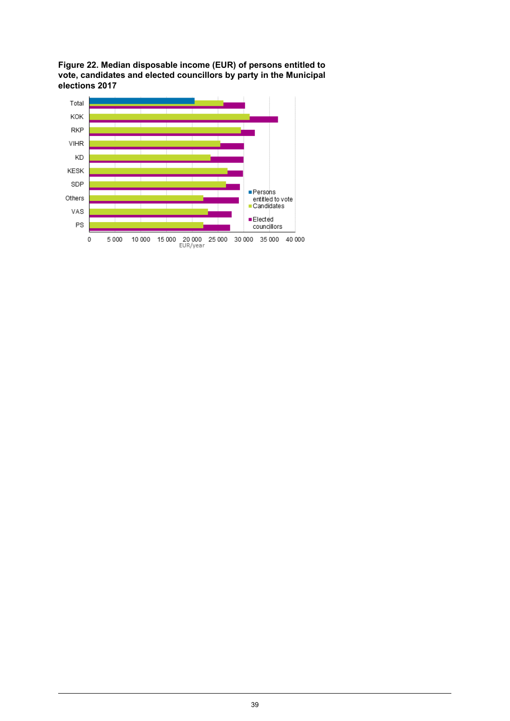<span id="page-38-0"></span>**Figure 22. Median disposable income (EUR) of persons entitled to vote, candidates and elected councillors by party in the Municipal elections 2017**

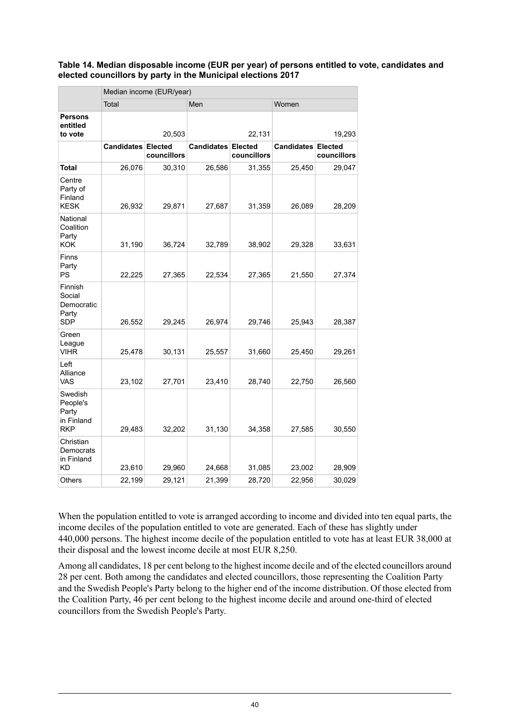#### <span id="page-39-0"></span>**Table 14. Median disposable income (EUR per year) of persons entitled to vote, candidates and elected councillors by party in the Municipal elections 2017**

|                                                          | Median income (EUR/year)  |             |                   |                               |                   |                               |  |
|----------------------------------------------------------|---------------------------|-------------|-------------------|-------------------------------|-------------------|-------------------------------|--|
|                                                          | Total                     |             | Men               |                               | Women             |                               |  |
| <b>Persons</b><br>entitled<br>to vote                    | 20,503                    |             | 22,131            |                               | 19,293            |                               |  |
|                                                          | <b>Candidates Elected</b> | councillors | <b>Candidates</b> | <b>Elected</b><br>councillors | <b>Candidates</b> | <b>Elected</b><br>councillors |  |
| Total                                                    | 26,076                    | 30,310      | 26,586            | 31,355                        | 25,450            | 29,047                        |  |
| Centre<br>Party of<br>Finland<br><b>KESK</b>             | 26,932                    | 29,871      | 27,687            | 31,359                        | 26,089            | 28,209                        |  |
| National<br>Coalition<br>Party<br><b>KOK</b>             | 31,190                    | 36,724      | 32,789            | 38,902                        | 29,328            | 33,631                        |  |
| Finns<br>Party<br>PS                                     | 22,225                    | 27,365      | 22,534            | 27,365                        | 21,550            | 27,374                        |  |
| Finnish<br>Social<br>Democratic<br>Party<br><b>SDP</b>   | 26,552                    | 29,245      | 26,974            | 29,746                        | 25,943            | 28,387                        |  |
| Green<br>League<br><b>VIHR</b>                           | 25,478                    | 30,131      | 25,557            | 31,660                        | 25,450            | 29,261                        |  |
| Left<br>Alliance<br>VAS                                  | 23,102                    | 27,701      | 23,410            | 28,740                        | 22,750            | 26,560                        |  |
| Swedish<br>People's<br>Party<br>in Finland<br><b>RKP</b> | 29,483                    | 32,202      | 31,130            | 34,358                        | 27,585            | 30,550                        |  |
| Christian<br>Democrats<br>in Finland<br><b>KD</b>        | 23,610                    | 29,960      | 24,668            | 31,085                        | 23,002            | 28,909                        |  |
| Others                                                   | 22,199                    | 29,121      | 21,399            | 28,720                        | 22,956            | 30,029                        |  |

When the population entitled to vote is arranged according to income and divided into ten equal parts, the income deciles of the population entitled to vote are generated. Each of these has slightly under 440,000 persons. The highest income decile of the population entitled to vote has at least EUR 38,000 at their disposal and the lowest income decile at most EUR 8,250.

Among all candidates, 18 per cent belong to the highest income decile and of the elected councillors around 28 per cent. Both among the candidates and elected councillors, those representing the Coalition Party and the Swedish People's Party belong to the higher end of the income distribution. Of those elected from the Coalition Party, 46 per cent belong to the highest income decile and around one-third of elected councillors from the Swedish People's Party.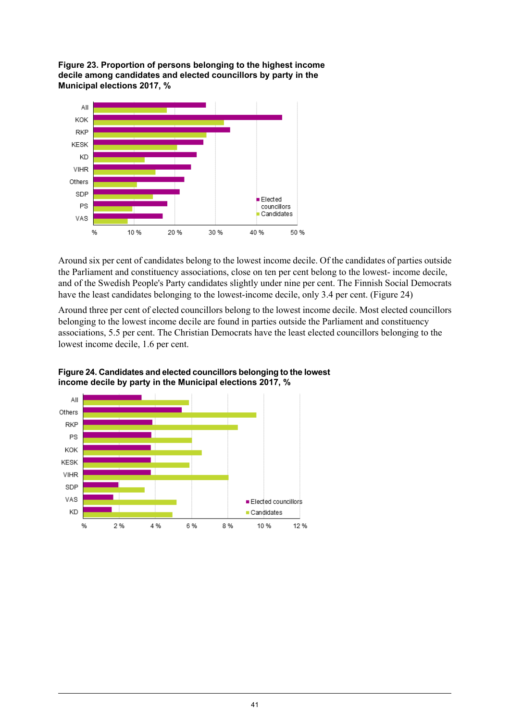<span id="page-40-0"></span>**Figure 23. Proportion of persons belonging to the highest income decile among candidates and elected councillors by party in the Municipal elections 2017, %**



Around six per cent of candidates belong to the lowest income decile. Of the candidates of parties outside the Parliament and constituency associations, close on ten per cent belong to the lowest- income decile, and of the Swedish People's Party candidates slightly under nine per cent. The Finnish Social Democrats have the least candidates belonging to the lowest-income decile, only 3.4 per cent. (Figure 24)

<span id="page-40-1"></span>Around three per cent of elected councillors belong to the lowest income decile. Most elected councillors belonging to the lowest income decile are found in parties outside the Parliament and constituency associations, 5.5 per cent. The Christian Democrats have the least elected councillors belonging to the lowest income decile, 1.6 per cent.



**Figure24. Candidatesand elected councillors belonging to thelowest income decile by party in the Municipal elections 2017, %**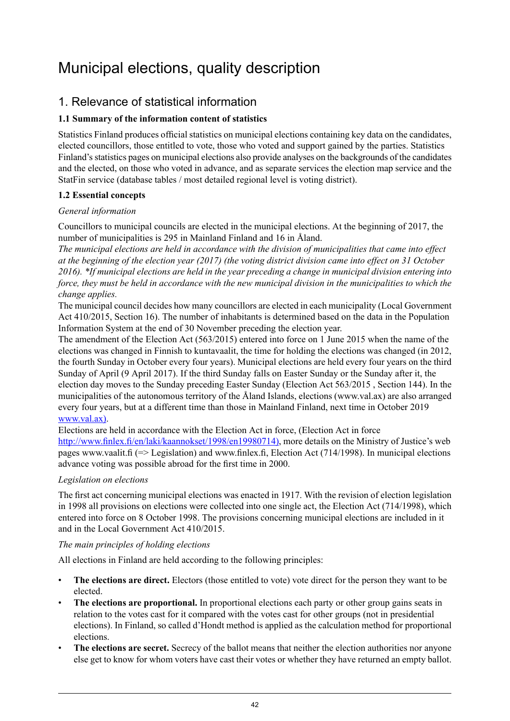# <span id="page-41-0"></span>Municipal elections, quality description

### 1. Relevance of statistical information

#### **1.1 Summary of the information content of statistics**

Statistics Finland produces official statistics on municipal elections containing key data on the candidates, elected councillors, those entitled to vote, those who voted and support gained by the parties. Statistics Finland's statistics pages on municipal elections also provide analyses on the backgrounds of the candidates and the elected, on those who voted in advance, and as separate services the election map service and the StatFin service (database tables / most detailed regional level is voting district).

#### **1.2 Essential concepts**

#### *General information*

Councillors to municipal councils are elected in the municipal elections. At the beginning of 2017, the number of municipalities is 295 in Mainland Finland and 16 in Åland.

*The municipal elections are held in accordance with the division of municipalities that came into effect* at the beginning of the election year (2017) (the voting district division came into effect on 31 October 2016). \*If municipal elections are held in the year preceding a change in municipal division entering into force, they must be held in accordance with the new municipal division in the municipalities to which the *change applies.*

The municipal council decides how many councillors are elected in each municipality (Local Government Act 410/2015, Section 16). The number of inhabitants is determined based on the data in the Population Information System at the end of 30 November preceding the election year.

The amendment of the Election Act (563/2015) entered into force on 1 June 2015 when the name of the elections was changed in Finnish to kuntavaalit, the time for holding the elections was changed (in 2012, the fourth Sunday in October every four years). Municipal elections are held every four years on the third Sunday of April (9 April 2017). If the third Sunday falls on Easter Sunday or the Sunday after it, the election day moves to the Sunday preceding Easter Sunday (Election Act 563/2015 , Section 144). In the municipalities of the autonomous territory of the Åland Islands, elections (www.val.ax) are also arranged every four years, but at a different time than those in Mainland Finland, next time in October 2019 [www.val.ax\)](http://www.val.ax).

Elections are held in accordance with the Election Act in force, (Election Act in force [http://www.finlex.fi/en/laki/kaannokset/1998/en19980714\),](http://www.finlex.fi/en/laki/kaannokset/1998/en19980714) more details on the Ministry of Justice's web pages www.vaalit.fi (=> Legislation) and www.finlex.fi, Election Act (714/1998). In municipal elections advance voting was possible abroad for the first time in 2000.

#### *Legislation on elections*

The first act concerning municipal elections was enacted in 1917. With the revision of election legislation in 1998 all provisions on elections were collected into one single act, the Election Act (714/1998), which entered into force on 8 October 1998. The provisions concerning municipal elections are included in it and in the Local Government Act 410/2015.

#### *The main principles of holding elections*

All elections in Finland are held according to the following principles:

- **The elections are direct.** Electors (those entitled to vote) vote direct for the person they want to be elected.
- **The elections are proportional.** In proportional elections each party or other group gains seats in relation to the votes cast for it compared with the votes cast for other groups (not in presidential elections). In Finland, so called d'Hondt method is applied as the calculation method for proportional elections.
- **The elections are secret.** Secrecy of the ballot means that neither the election authorities nor anyone else get to know for whom voters have cast their votes or whether they have returned an empty ballot.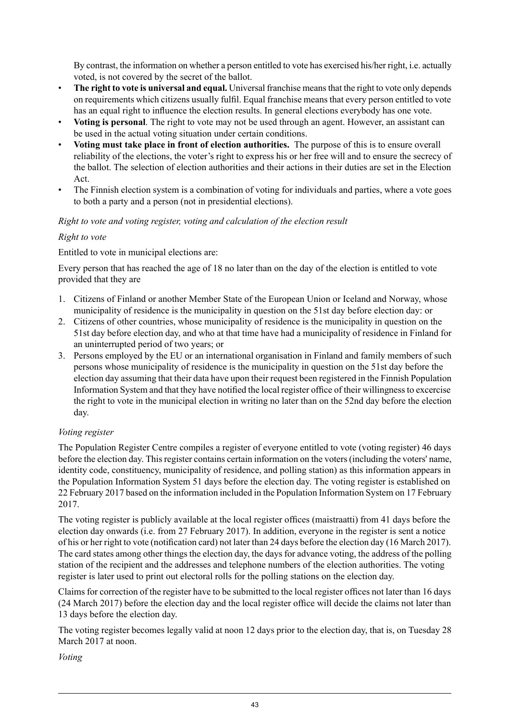By contrast, the information on whether a person entitled to vote has exercised his/her right, i.e. actually voted, is not covered by the secret of the ballot.

- **The right to vote is universal and equal.** Universal franchise meansthat the right to vote only depends on requirements which citizens usually fulfil. Equal franchise means that every person entitled to vote has an equal right to influence the election results. In general elections everybody has one vote.
- **Voting is personal**. The right to vote may not be used through an agent. However, an assistant can be used in the actual voting situation under certain conditions.
- **Voting must take place in front of election authorities.** The purpose of this is to ensure overall reliability of the elections, the voter's right to express his or her free will and to ensure the secrecy of the ballot. The selection of election authorities and their actions in their duties are set in the Election Act.
- The Finnish election system is a combination of voting for individuals and parties, where a vote goes to both a party and a person (not in presidential elections).

#### *Right to vote and voting register, voting and calculation of the election result*

#### *Right to vote*

Entitled to vote in municipal elections are:

Every person that has reached the age of 18 no later than on the day of the election is entitled to vote provided that they are

- 1. Citizens of Finland or another Member State of the European Union or Iceland and Norway, whose municipality of residence is the municipality in question on the 51st day before election day: or
- 2. Citizens of other countries, whose municipality of residence is the municipality in question on the 51st day before election day, and who at that time have had a municipality of residence in Finland for an uninterrupted period of two years; or
- 3. Persons employed by the EU or an international organisation in Finland and family members of such persons whose municipality of residence is the municipality in question on the 51st day before the election day assuming that their data have upon their request been registered in the Finnish Population Information System and that they have notified the local register office of their willingnessto excercise the right to vote in the municipal election in writing no later than on the 52nd day before the election day.

#### *Voting register*

The Population Register Centre compiles a register of everyone entitled to vote (voting register) 46 days before the election day. This register contains certain information on the voters (including the voters' name, identity code, constituency, municipality of residence, and polling station) as this information appears in the Population Information System 51 days before the election day. The voting register is established on 22 February 2017 based on the information included in the Population Information System on 17 February 2017.

The voting register is publicly available at the local register offices (maistraatti) from 41 days before the election day onwards (i.e. from 27 February 2017). In addition, everyone in the register is sent a notice of his or her right to vote (notification card) not later than 24 days before the election day (16 March 2017). The card states among other things the election day, the days for advance voting, the address of the polling station of the recipient and the addresses and telephone numbers of the election authorities. The voting register is later used to print out electoral rolls for the polling stations on the election day.

Claims for correction of the register have to be submitted to the local register offices not later than 16 days (24 March 2017) before the election day and the local register office will decide the claims not later than 13 days before the election day.

The voting register becomes legally valid at noon 12 days prior to the election day, that is, on Tuesday 28 March 2017 at noon.

*Voting*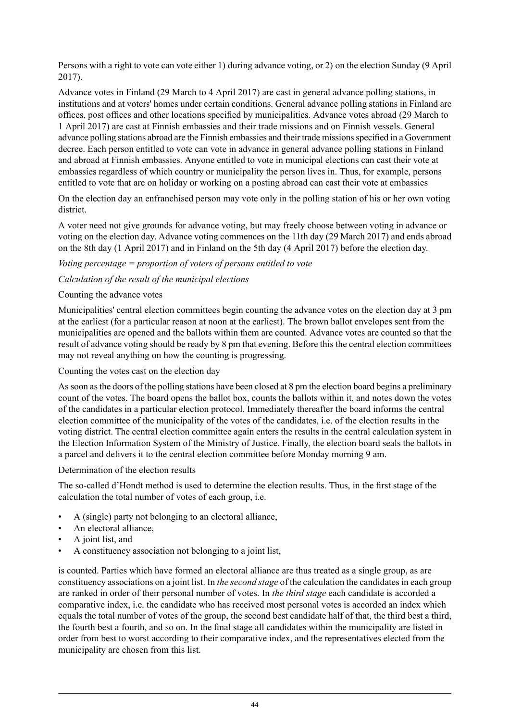Persons with a right to vote can vote either 1) during advance voting, or 2) on the election Sunday (9 April 2017).

Advance votes in Finland (29 March to 4 April 2017) are cast in general advance polling stations, in institutions and at voters' homes under certain conditions. General advance polling stations in Finland are offices, post offices and other locations specified by municipalities. Advance votes abroad (29 March to 1 April 2017) are cast at Finnish embassies and their trade missions and on Finnish vessels. General advance polling stations abroad are the Finnish embassies and their trade missions specified in a Government decree. Each person entitled to vote can vote in advance in general advance polling stations in Finland and abroad at Finnish embassies. Anyone entitled to vote in municipal elections can cast their vote at embassies regardless of which country or municipality the person lives in. Thus, for example, persons entitled to vote that are on holiday or working on a posting abroad can cast their vote at embassies

On the election day an enfranchised person may vote only in the polling station of his or her own voting district.

A voter need not give grounds for advance voting, but may freely choose between voting in advance or voting on the election day. Advance voting commences on the 11th day (29 March 2017) and ends abroad on the 8th day (1 April 2017) and in Finland on the 5th day (4 April 2017) before the election day.

#### *Voting percentage = proportion of voters of persons entitled to vote*

#### *Calculation of the result of the municipal elections*

#### Counting the advance votes

Municipalities' central election committees begin counting the advance votes on the election day at 3 pm at the earliest (for a particular reason at noon at the earliest). The brown ballot envelopes sent from the municipalities are opened and the ballots within them are counted. Advance votes are counted so that the result of advance voting should be ready by 8 pm that evening. Before this the central election committees may not reveal anything on how the counting is progressing.

#### Counting the votes cast on the election day

Assoon asthe doors of the polling stations have been closed at 8 pm the election board begins a preliminary count of the votes. The board opens the ballot box, counts the ballots within it, and notes down the votes of the candidates in a particular election protocol. Immediately thereafter the board informs the central election committee of the municipality of the votes of the candidates, i.e. of the election results in the voting district. The central election committee again enters the results in the central calculation system in the Election Information System of the Ministry of Justice. Finally, the election board seals the ballots in a parcel and delivers it to the central election committee before Monday morning 9 am.

#### Determination of the election results

The so-called d'Hondt method is used to determine the election results. Thus, in the first stage of the calculation the total number of votes of each group, i.e.

- A (single) party not belonging to an electoral alliance,
- An electoral alliance.
- A joint list, and
- A constituency association not belonging to a joint list,

is counted. Parties which have formed an electoral alliance are thus treated as a single group, as are constituency associations on a joint list. In *the second stage* of the calculation the candidates in each group are ranked in order of their personal number of votes. In *the third stage* each candidate is accorded a comparative index, i.e. the candidate who has received most personal votes is accorded an index which equals the total number of votes of the group, the second best candidate half of that, the third best a third, the fourth best a fourth, and so on. In the final stage all candidates within the municipality are listed in order from best to worst according to their comparative index, and the representatives elected from the municipality are chosen from this list.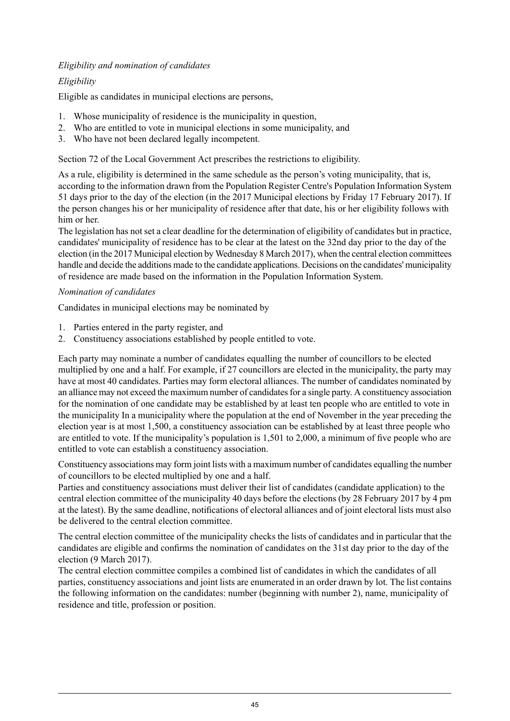#### *Eligibility and nomination of candidates*

#### *Eligibility*

Eligible as candidates in municipal elections are persons,

- 1. Whose municipality of residence is the municipality in question,
- 2. Who are entitled to vote in municipal elections in some municipality, and
- 3. Who have not been declared legally incompetent.

Section 72 of the Local Government Act prescribes the restrictions to eligibility.

As a rule, eligibility is determined in the same schedule as the person's voting municipality, that is, according to the information drawn from the Population Register Centre's Population Information System 51 days prior to the day of the election (in the 2017 Municipal elections by Friday 17 February 2017). If the person changes his or her municipality of residence after that date, his or her eligibility follows with him or her.

The legislation has not set a clear deadline for the determination of eligibility of candidates but in practice, candidates' municipality of residence has to be clear at the latest on the 32nd day prior to the day of the election (in the 2017 Municipal election by Wednesday 8 March 2017), when the central election committees handle and decide the additions made to the candidate applications. Decisions on the candidates' municipality of residence are made based on the information in the Population Information System.

#### *Nomination of candidates*

Candidates in municipal elections may be nominated by

- 1. Parties entered in the party register, and
- 2. Constituency associations established by people entitled to vote.

Each party may nominate a number of candidates equalling the number of councillors to be elected multiplied by one and a half. For example, if 27 councillors are elected in the municipality, the party may have at most 40 candidates. Parties may form electoral alliances. The number of candidates nominated by an alliance may not exceed the maximum number of candidates for a single party. A constituency association for the nomination of one candidate may be established by at least ten people who are entitled to vote in the municipality In a municipality where the population at the end of November in the year preceding the election year is at most 1,500, a constituency association can be established by at least three people who are entitled to vote. If the municipality's population is 1,501 to 2,000, a minimum of five people who are entitled to vote can establish a constituency association.

Constituency associations may form joint lists with a maximum number of candidates equalling the number of councillors to be elected multiplied by one and a half.

Parties and constituency associations must deliver their list of candidates (candidate application) to the central election committee of the municipality 40 days before the elections (by 28 February 2017 by 4 pm at the latest). By the same deadline, notifications of electoral alliances and of joint electoral lists must also be delivered to the central election committee.

The central election committee of the municipality checks the lists of candidates and in particular that the candidates are eligible and confirms the nomination of candidates on the 31st day prior to the day of the election (9 March 2017).

The central election committee compiles a combined list of candidates in which the candidates of all parties, constituency associations and joint lists are enumerated in an order drawn by lot. The list contains the following information on the candidates: number (beginning with number 2), name, municipality of residence and title, profession or position.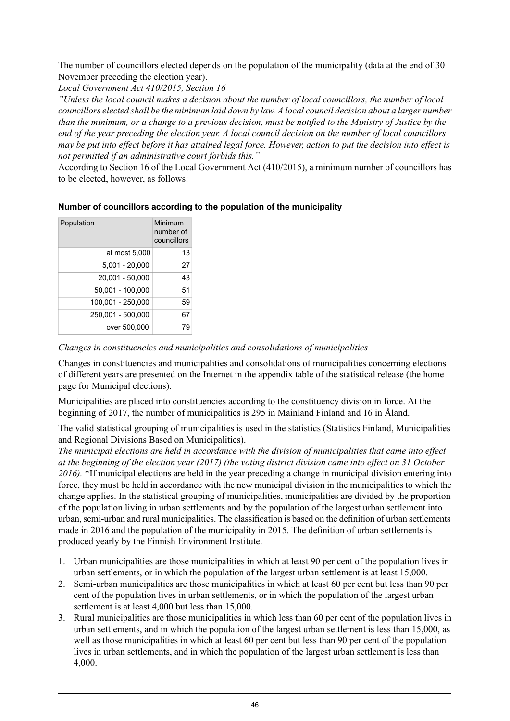The number of councillors elected depends on the population of the municipality (data at the end of 30 November preceding the election year).

*Local Government Act 410/2015, Section 16*

*"Unless the local council makes a decision about the number of local councillors, the number of local* councillors elected shall be the minimum laid down by law. A local council decision about a larger number than the minimum, or a change to a previous decision, must be notified to the Ministry of Justice by the end of the year preceding the election year. A local council decision on the number of local councillors may be put into effect before it has attained legal force. However, action to put the decision into effect is *not permitted if an administrative court forbids this."*

According to Section 16 of the Local Government Act (410/2015), a minimum number of councillors has to be elected, however, as follows:

#### **Number of councillors according to the population of the municipality**

| Population        | Minimum<br>number of<br>councillors |
|-------------------|-------------------------------------|
| at most 5,000     | 13                                  |
| $5.001 - 20.000$  | 27                                  |
| 20,001 - 50,000   | 43                                  |
| 50,001 - 100,000  | 51                                  |
| 100,001 - 250,000 | 59                                  |
| 250,001 - 500,000 | 67                                  |
| over 500,000      | 79                                  |

*Changes in constituencies and municipalities and consolidations of municipalities*

Changes in constituencies and municipalities and consolidations of municipalities concerning elections of different years are presented on the Internet in the appendix table of the statistical release (the home page for Municipal elections).

Municipalities are placed into constituencies according to the constituency division in force. At the beginning of 2017, the number of municipalities is 295 in Mainland Finland and 16 in Åland.

The valid statistical grouping of municipalities is used in the statistics (Statistics Finland, Municipalities and Regional Divisions Based on Municipalities).

*The municipal elections are held in accordance with the division of municipalities that came into effect* at the beginning of the election year (2017) (the voting district division came into effect on 31 October *2016).* \*If municipal elections are held in the year preceding a change in municipal division entering into force, they must be held in accordance with the new municipal division in the municipalities to which the change applies. In the statistical grouping of municipalities, municipalities are divided by the proportion of the population living in urban settlements and by the population of the largest urban settlement into urban,semi-urban and rural municipalities. The classification is based on the definition of urban settlements made in 2016 and the population of the municipality in 2015. The definition of urban settlements is produced yearly by the Finnish Environment Institute.

- 1. Urban municipalities are those municipalities in which at least 90 per cent of the population lives in urban settlements, or in which the population of the largest urban settlement is at least 15,000.
- 2. Semi-urban municipalities are those municipalities in which at least 60 per cent but less than 90 per cent of the population lives in urban settlements, or in which the population of the largest urban settlement is at least 4,000 but less than 15,000.
- 3. Rural municipalities are those municipalities in which less than 60 per cent of the population lives in urban settlements, and in which the population of the largest urban settlement is less than 15,000, as well as those municipalities in which at least 60 per cent but less than 90 per cent of the population lives in urban settlements, and in which the population of the largest urban settlement is less than 4,000.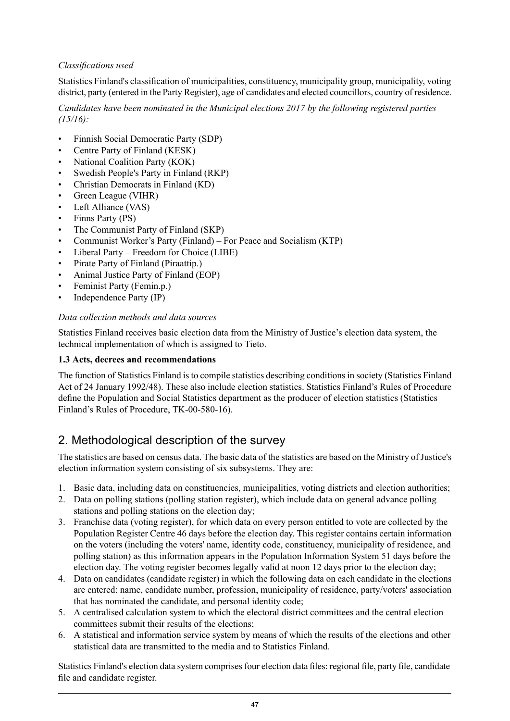#### *Classifications used*

Statistics Finland's classification of municipalities, constituency, municipality group, municipality, voting district, party (entered in the Party Register), age of candidates and elected councillors, country of residence.

*Candidates have been nominated in the Municipal elections 2017 by the following registered parties (15/16):*

- Finnish Social Democratic Party (SDP)
- Centre Party of Finland (KESK)
- National Coalition Party (KOK)
- Swedish People's Party in Finland (RKP)
- Christian Democrats in Finland (KD)
- Green League (VIHR)
- Left Alliance (VAS)
- Finns Party (PS)
- The Communist Party of Finland (SKP)
- Communist Worker's Party (Finland) For Peace and Socialism (KTP)
- Liberal Party Freedom for Choice (LIBE)
- Pirate Party of Finland (Piraattip.)
- Animal Justice Party of Finland (EOP)
- Feminist Party (Femin.p.)
- Independence Party (IP)

#### *Data collection methods and data sources*

Statistics Finland receives basic election data from the Ministry of Justice's election data system, the technical implementation of which is assigned to Tieto.

#### **1.3 Acts, decrees and recommendations**

The function of Statistics Finland is to compile statistics describing conditions in society (Statistics Finland Act of 24 January 1992/48). These also include election statistics. Statistics Finland's Rules of Procedure define the Population and Social Statistics department as the producer of election statistics (Statistics Finland's Rules of Procedure, TK-00-580-16).

### 2. Methodological description of the survey

The statistics are based on census data. The basic data of the statistics are based on the Ministry of Justice's election information system consisting of six subsystems. They are:

- 1. Basic data, including data on constituencies, municipalities, voting districts and election authorities;
- 2. Data on polling stations (polling station register), which include data on general advance polling stations and polling stations on the election day;
- 3. Franchise data (voting register), for which data on every person entitled to vote are collected by the Population Register Centre 46 days before the election day. This register contains certain information on the voters (including the voters' name, identity code, constituency, municipality of residence, and polling station) as this information appears in the Population Information System 51 days before the election day. The voting register becomes legally valid at noon 12 days prior to the election day:
- 4. Data on candidates (candidate register) in which the following data on each candidate in the elections are entered: name, candidate number, profession, municipality of residence, party/voters' association that has nominated the candidate, and personal identity code;
- 5. A centralised calculation system to which the electoral district committees and the central election committees submit their results of the elections;
- 6. A statistical and information service system by means of which the results of the elections and other statistical data are transmitted to the media and to Statistics Finland.

Statistics Finland's election data system comprises four election data files: regional file, party file, candidate file and candidate register.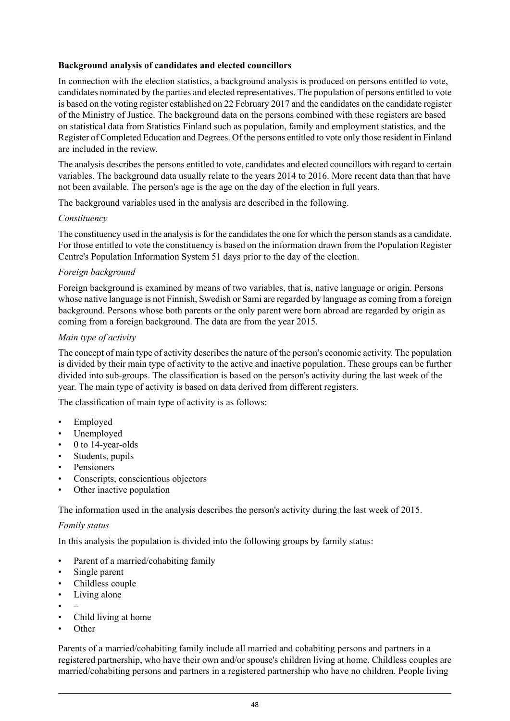#### **Background analysis of candidates and elected councillors**

In connection with the election statistics, a background analysis is produced on persons entitled to vote, candidates nominated by the parties and elected representatives. The population of persons entitled to vote is based on the voting register established on 22 February 2017 and the candidates on the candidate register of the Ministry of Justice. The background data on the persons combined with these registers are based on statistical data from Statistics Finland such as population, family and employment statistics, and the Register of Completed Education and Degrees. Of the persons entitled to vote only those resident in Finland are included in the review.

The analysis describes the persons entitled to vote, candidates and elected councillors with regard to certain variables. The background data usually relate to the years 2014 to 2016. More recent data than that have not been available. The person's age is the age on the day of the election in full years.

The background variables used in the analysis are described in the following.

#### *Constituency*

The constituency used in the analysis is for the candidates the one for which the person stands as a candidate. For those entitled to vote the constituency is based on the information drawn from the Population Register Centre's Population Information System 51 days prior to the day of the election.

#### *Foreign background*

Foreign background is examined by means of two variables, that is, native language or origin. Persons whose native language is not Finnish, Swedish or Sami are regarded by language as coming from a foreign background. Persons whose both parents or the only parent were born abroad are regarded by origin as coming from a foreign background. The data are from the year 2015.

#### *Main type of activity*

The concept of main type of activity describes the nature of the person's economic activity. The population is divided by their main type of activity to the active and inactive population. These groups can be further divided into sub-groups. The classification is based on the person's activity during the last week of the year. The main type of activity is based on data derived from different registers.

The classification of main type of activity is as follows:

- Employed
- Unemployed
- 0 to 14-year-olds
- Students, pupils
- **Pensioners**
- Conscripts, conscientious objectors
- Other inactive population

The information used in the analysis describes the person's activity during the last week of 2015.

#### *Family status*

In this analysis the population is divided into the following groups by family status:

- Parent of a married/cohabiting family
- Single parent
- Childless couple
- Living alone
- –
- Child living at home
- Other

Parents of a married/cohabiting family include all married and cohabiting persons and partners in a registered partnership, who have their own and/or spouse's children living at home. Childless couples are married/cohabiting persons and partners in a registered partnership who have no children. People living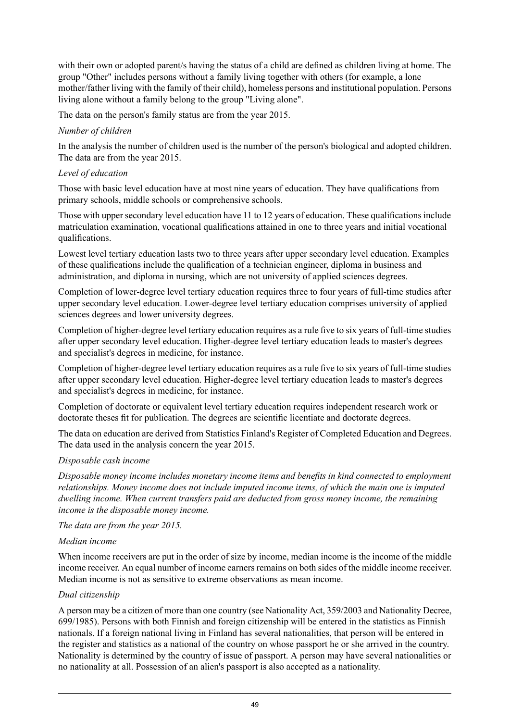with their own or adopted parent/s having the status of a child are defined as children living at home. The group "Other" includes persons without a family living together with others (for example, a lone mother/father living with the family of their child), homeless persons and institutional population. Persons living alone without a family belong to the group "Living alone".

The data on the person's family status are from the year 2015.

#### *Number of children*

In the analysis the number of children used is the number of the person's biological and adopted children. The data are from the year 2015.

#### *Level of education*

Those with basic level education have at most nine years of education. They have qualifications from primary schools, middle schools or comprehensive schools.

Those with upper secondary level education have 11 to 12 years of education. These qualifications include matriculation examination, vocational qualifications attained in one to three years and initial vocational qualifications.

Lowest level tertiary education lasts two to three years after upper secondary level education. Examples of these qualifications include the qualification of a technician engineer, diploma in business and administration, and diploma in nursing, which are not university of applied sciences degrees.

Completion of lower-degree level tertiary education requires three to four years of full-time studies after upper secondary level education. Lower-degree level tertiary education comprises university of applied sciences degrees and lower university degrees.

Completion of higher-degree level tertiary education requires as a rule five to six years of full-time studies after upper secondary level education. Higher-degree level tertiary education leads to master's degrees and specialist's degrees in medicine, for instance.

Completion of higher-degree level tertiary education requires as a rule five to six years of full-time studies after upper secondary level education. Higher-degree level tertiary education leads to master's degrees and specialist's degrees in medicine, for instance.

Completion of doctorate or equivalent level tertiary education requires independent research work or doctorate theses fit for publication. The degrees are scientific licentiate and doctorate degrees.

The data on education are derived from Statistics Finland's Register of Completed Education and Degrees. The data used in the analysis concern the year 2015.

#### *Disposable cash income*

*Disposable money income includes monetary income items and benefits in kind connected to employment relationships. Money income does not include imputed income items, of which the main one is imputed dwelling income. When current transfers paid are deducted from gross money income, the remaining income is the disposable money income.*

*The data are from the year 2015.*

#### *Median income*

When income receivers are put in the order of size by income, median income is the income of the middle income receiver. An equal number of income earners remains on both sides of the middle income receiver. Median income is not as sensitive to extreme observations as mean income.

#### *Dual citizenship*

A person may be a citizen of more than one country (see Nationality Act, 359/2003 and Nationality Decree, 699/1985). Persons with both Finnish and foreign citizenship will be entered in the statistics as Finnish nationals. If a foreign national living in Finland has several nationalities, that person will be entered in the register and statistics as a national of the country on whose passport he or she arrived in the country. Nationality is determined by the country of issue of passport. A person may have several nationalities or no nationality at all. Possession of an alien's passport is also accepted as a nationality.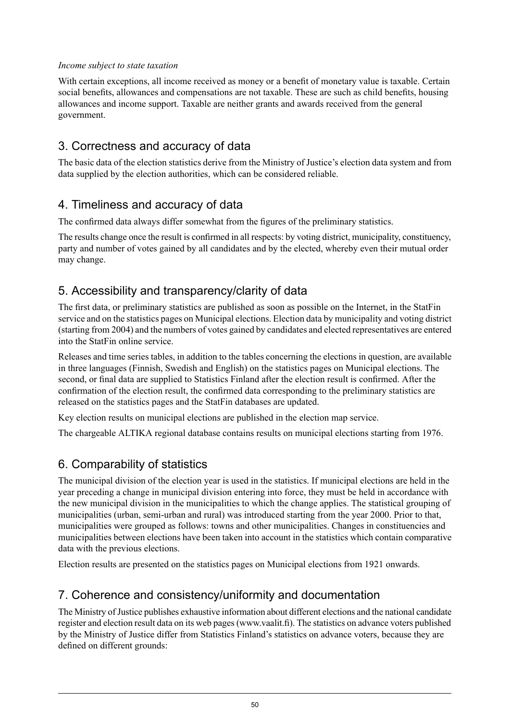#### *Income subject to state taxation*

With certain exceptions, all income received as money or a benefit of monetary value is taxable. Certain social benefits, allowances and compensations are not taxable. These are such as child benefits, housing allowances and income support. Taxable are neither grants and awards received from the general government.

### 3. Correctness and accuracy of data

The basic data of the election statistics derive from the Ministry of Justice's election data system and from data supplied by the election authorities, which can be considered reliable.

### 4. Timeliness and accuracy of data

The confirmed data always differ somewhat from the figures of the preliminary statistics.

The results change once the result is confirmed in all respects: by voting district, municipality, constituency, party and number of votes gained by all candidates and by the elected, whereby even their mutual order may change.

### 5. Accessibility and transparency/clarity of data

The first data, or preliminary statistics are published as soon as possible on the Internet, in the StatFin service and on the statistics pages on Municipal elections. Election data by municipality and voting district (starting from 2004) and the numbers of votes gained by candidates and elected representatives are entered into the StatFin online service.

Releases and time series tables, in addition to the tables concerning the elections in question, are available in three languages (Finnish, Swedish and English) on the statistics pages on Municipal elections. The second, or final data are supplied to Statistics Finland after the election result is confirmed. After the confirmation of the election result, the confirmed data corresponding to the preliminary statistics are released on the statistics pages and the StatFin databases are updated.

Key election results on municipal elections are published in the election map service.

The chargeable ALTIKA regional database contains results on municipal elections starting from 1976.

### 6. Comparability of statistics

The municipal division of the election year is used in the statistics. If municipal elections are held in the year preceding a change in municipal division entering into force, they must be held in accordance with the new municipal division in the municipalities to which the change applies. The statistical grouping of municipalities (urban, semi-urban and rural) was introduced starting from the year 2000. Prior to that, municipalities were grouped as follows: towns and other municipalities. Changes in constituencies and municipalities between elections have been taken into account in the statistics which contain comparative data with the previous elections.

Election results are presented on the statistics pages on Municipal elections from 1921 onwards.

### 7. Coherence and consistency/uniformity and documentation

The Ministry of Justice publishes exhaustive information about different elections and the national candidate register and election result data on its web pages(www.vaalit.fi). The statistics on advance voters published by the Ministry of Justice differ from Statistics Finland's statistics on advance voters, because they are defined on different grounds: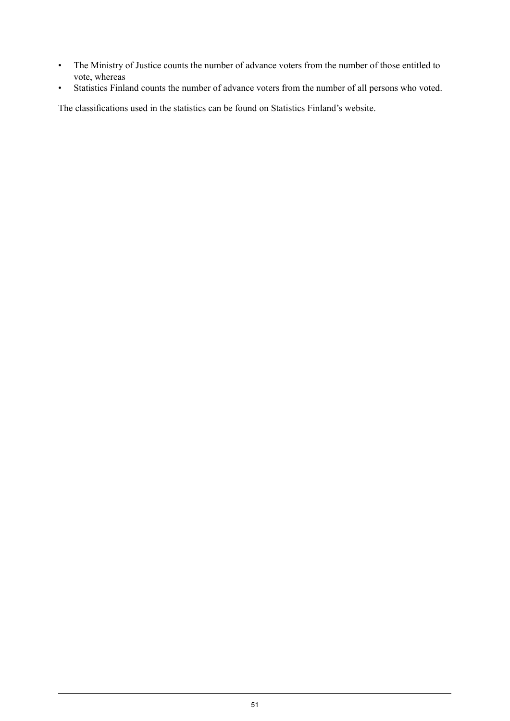- The Ministry of Justice counts the number of advance voters from the number of those entitled to vote, whereas
- Statistics Finland counts the number of advance voters from the number of all persons who voted.

The classifications used in the statistics can be found on Statistics Finland's website.